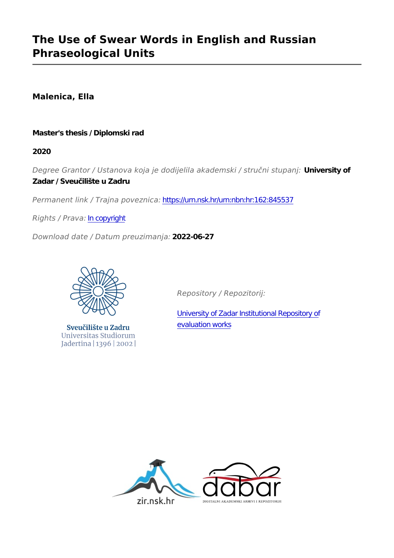## **The Use of Swear Words in English and Russian Phraseological Units**

**Malenica, Ella**

### **Master's thesis / Diplomski rad**

**2020**

*Degree Grantor / Ustanova koja je dodijelila akademski / stručni stupanj:* **University of Zadar / Sveučilište u Zadru**

*Permanent link / Trajna poveznica:* <https://urn.nsk.hr/urn:nbn:hr:162:845537>

*Rights / Prava:* [In copyright](http://rightsstatements.org/vocab/InC/1.0/)

*Download date / Datum preuzimanja:* **2022-06-27**



Sveučilište u Zadru Universitas Studiorum Jadertina | 1396 | 2002 |

*Repository / Repozitorij:*

[University of Zadar Institutional Repository of](https://repozitorij.unizd.hr) [evaluation works](https://repozitorij.unizd.hr)

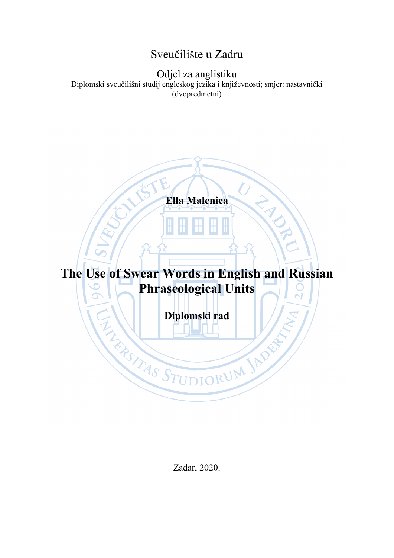## Sveučilište u Zadru

Odjel za anglistiku

Diplomski sveučilišni studij engleskog jezika i književnosti; smjer: nastavnički (dvopredmetni)

**Ella Malenica**

# **The Use of Swear Words in English and Russian Phraseological Units**

**Diplomski rad**

**EXAMPLE OF THE DESCRIPTION OF STREAM AND RESPONSIVELY.** 

Zadar, 2020.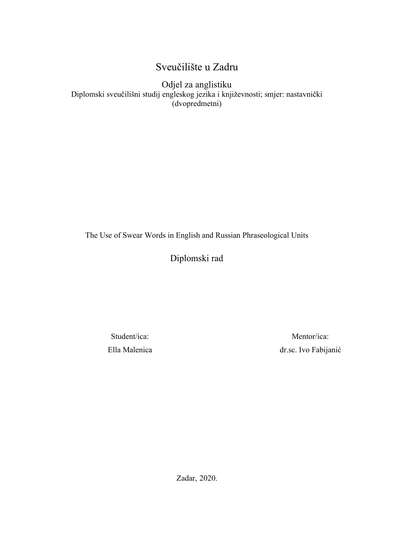## Sveučilište u Zadru

Odjel za anglistiku Diplomski sveučilišni studij engleskog jezika i književnosti; smjer: nastavnički (dvopredmetni)

The Use of Swear Words in English and Russian Phraseological Units

Diplomski rad

Student/ica: Ella Malenica

Mentor/ica: dr.sc. Ivo Fabijanić

Zadar, 2020.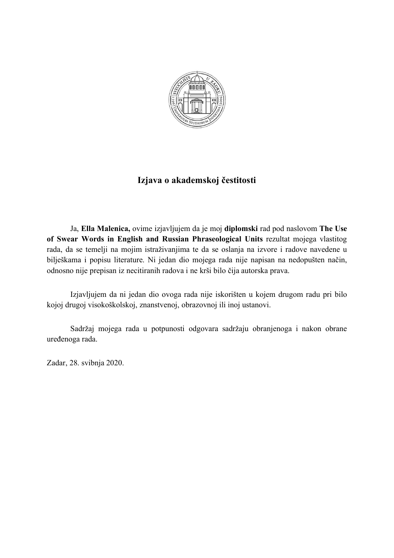

## **Izjava o akademskoj čestitosti**

Ja, **Ella Malenica,** ovime izjavljujem da je moj **diplomski** rad pod naslovom **The Use of Swear Words in English and Russian Phraseological Units** rezultat mojega vlastitog rada, da se temelji na mojim istraživanjima te da se oslanja na izvore i radove navedene u bilješkama i popisu literature. Ni jedan dio mojega rada nije napisan na nedopušten način, odnosno nije prepisan iz necitiranih radova i ne krši bilo čija autorska prava.

Izjavljujem da ni jedan dio ovoga rada nije iskorišten u kojem drugom radu pri bilo kojoj drugoj visokoškolskoj, znanstvenoj, obrazovnoj ili inoj ustanovi.

Sadržaj mojega rada u potpunosti odgovara sadržaju obranjenoga i nakon obrane uređenoga rada.

Zadar, 28. svibnja 2020.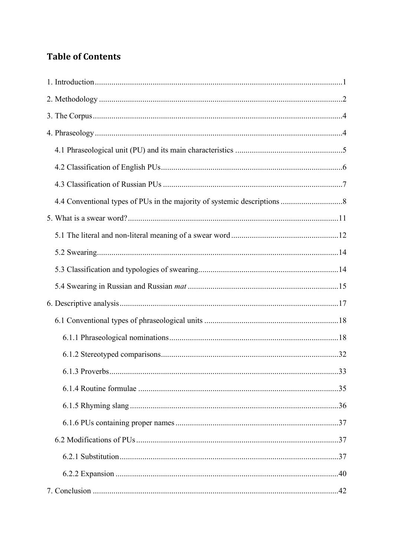## **Table of Contents**

| 33<br>6.1.3 Proverbs. |  |
|-----------------------|--|
|                       |  |
|                       |  |
|                       |  |
|                       |  |
|                       |  |
|                       |  |
|                       |  |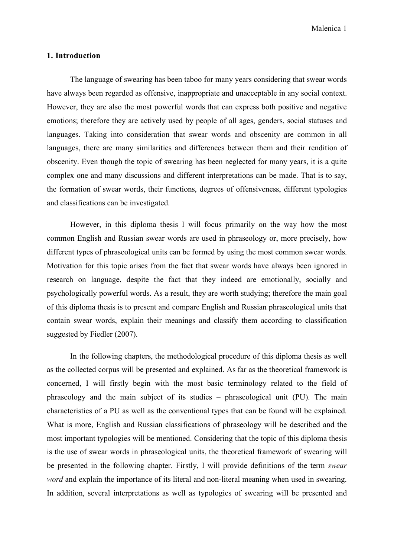Malenica 1

### **1. Introduction**

The language of swearing has been taboo for many years considering that swear words have always been regarded as offensive, inappropriate and unacceptable in any social context. However, they are also the most powerful words that can express both positive and negative emotions; therefore they are actively used by people of all ages, genders, social statuses and languages. Taking into consideration that swear words and obscenity are common in all languages, there are many similarities and differences between them and their rendition of obscenity. Even though the topic of swearing has been neglected for many years, it is a quite complex one and many discussions and different interpretations can be made. That is to say, the formation of swear words, their functions, degrees of offensiveness, different typologies and classifications can be investigated.

However, in this diploma thesis I will focus primarily on the way how the most common English and Russian swear words are used in phraseology or, more precisely, how different types of phraseological units can be formed by using the most common swear words. Motivation for this topic arises from the fact that swear words have always been ignored in research on language, despite the fact that they indeed are emotionally, socially and psychologically powerful words. As a result, they are worth studying; therefore the main goal of this diploma thesis is to present and compare English and Russian phraseological units that contain swear words, explain their meanings and classify them according to classification suggested by Fiedler (2007).

In the following chapters, the methodological procedure of this diploma thesis as well as the collected corpus will be presented and explained. As far as the theoretical framework is concerned, I will firstly begin with the most basic terminology related to the field of phraseology and the main subject of its studies – phraseological unit (PU). The main characteristics of a PU as well as the conventional types that can be found will be explained. What is more, English and Russian classifications of phraseology will be described and the most important typologies will be mentioned. Considering that the topic of this diploma thesis is the use of swear words in phraseological units, the theoretical framework of swearing will be presented in the following chapter. Firstly, I will provide definitions of the term *swear word* and explain the importance of its literal and non-literal meaning when used in swearing. In addition, several interpretations as well as typologies of swearing will be presented and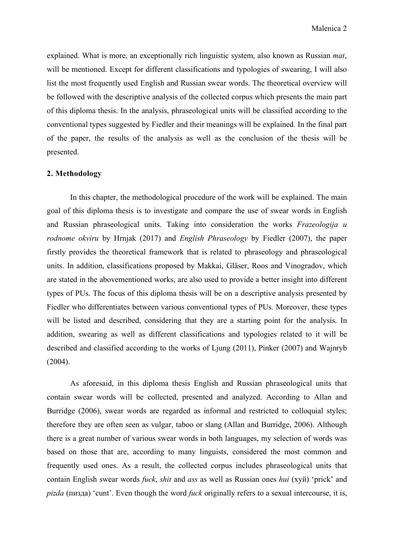explained. What is more, an exceptionally rich linguistic system, also known as Russian *mat*, will be mentioned. Except for different classifications and typologies of swearing, I will also list the most frequently used English and Russian swear words. The theoretical overview will be followed with the descriptive analysis of the collected corpus which presents the main part of this diploma thesis. In the analysis, phraseological units will be classified according to the conventional types suggested by Fiedler and their meanings will be explained. In the final part of the paper, the results of the analysis as well as the conclusion of the thesis will be presented.

### **2. Methodology**

 In this chapter, the methodological procedure of the work will be explained. The main goal of this diploma thesis is to investigate and compare the use of swear words in English and Russian phraseological units. Taking into consideration the works *Frazeologija u rodnome okviru* by Hrnjak (2017) and *English Phraseology* by Fiedler (2007), the paper firstly provides the theoretical framework that is related to phraseology and phraseological units. In addition, classifications proposed by Makkai, Gläser, Roos and Vinogradov, which are stated in the abovementioned works, are also used to provide a better insight into different types of PUs. The focus of this diploma thesis will be on a descriptive analysis presented by Fiedler who differentiates between various conventional types of PUs. Moreover, these types will be listed and described, considering that they are a starting point for the analysis. In addition, swearing as well as different classifications and typologies related to it will be described and classified according to the works of Ljung (2011), Pinker (2007) and Wajnryb (2004).

As aforesaid, in this diploma thesis English and Russian phraseological units that contain swear words will be collected, presented and analyzed. According to Allan and Burridge (2006), swear words are regarded as informal and restricted to colloquial styles; therefore they are often seen as vulgar, taboo or slang (Allan and Burridge, 2006). Although there is a great number of various swear words in both languages, my selection of words was based on those that are, according to many linguists, considered the most common and frequently used ones. As a result, the collected corpus includes phraseological units that contain English swear words *fuck*, *shit* and *ass* as well as Russian ones *hui* (хуй) 'prick' and *pizda* (пизда) 'cunt'. Even though the word *fuck* originally refers to a sexual intercourse, it is,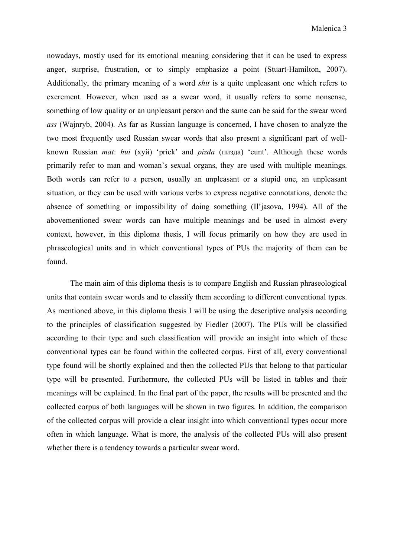nowadays, mostly used for its emotional meaning considering that it can be used to express anger, surprise, frustration, or to simply emphasize a point (Stuart-Hamilton, 2007). Additionally, the primary meaning of a word *shit* is a quite unpleasant one which refers to excrement. However, when used as a swear word, it usually refers to some nonsense, something of low quality or an unpleasant person and the same can be said for the swear word *ass* (Wajnryb, 2004). As far as Russian language is concerned, I have chosen to analyze the two most frequently used Russian swear words that also present a significant part of wellknown Russian *mat*: *hui* (хуй) 'prick' and *pizda* (пизда) 'cunt'. Although these words primarily refer to man and woman's sexual organs, they are used with multiple meanings. Both words can refer to a person, usually an unpleasant or a stupid one, an unpleasant situation, or they can be used with various verbs to express negative connotations, denote the absence of something or impossibility of doing something (Il'jasova, 1994). All of the abovementioned swear words can have multiple meanings and be used in almost every context, however, in this diploma thesis, I will focus primarily on how they are used in phraseological units and in which conventional types of PUs the majority of them can be found.

The main aim of this diploma thesis is to compare English and Russian phraseological units that contain swear words and to classify them according to different conventional types. As mentioned above, in this diploma thesis I will be using the descriptive analysis according to the principles of classification suggested by Fiedler (2007). The PUs will be classified according to their type and such classification will provide an insight into which of these conventional types can be found within the collected corpus. First of all, every conventional type found will be shortly explained and then the collected PUs that belong to that particular type will be presented. Furthermore, the collected PUs will be listed in tables and their meanings will be explained. In the final part of the paper, the results will be presented and the collected corpus of both languages will be shown in two figures. In addition, the comparison of the collected corpus will provide a clear insight into which conventional types occur more often in which language. What is more, the analysis of the collected PUs will also present whether there is a tendency towards a particular swear word.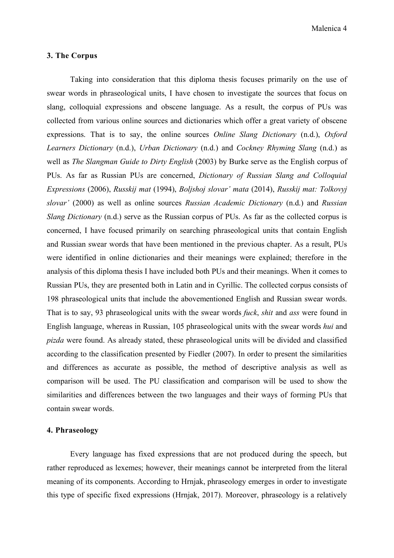Malenica 4

### **3. The Corpus**

 Taking into consideration that this diploma thesis focuses primarily on the use of swear words in phraseological units, I have chosen to investigate the sources that focus on slang, colloquial expressions and obscene language. As a result, the corpus of PUs was collected from various online sources and dictionaries which offer a great variety of obscene expressions. That is to say, the online sources *Online Slang Dictionary* (n.d.), *Oxford Learners Dictionary* (n.d.), *Urban Dictionary* (n.d.) and *Cockney Rhyming Slang* (n.d.) as well as *The Slangman Guide to Dirty English* (2003) by Burke serve as the English corpus of PUs. As far as Russian PUs are concerned, *Dictionary of Russian Slang and Colloquial Expressions* (2006), *Russkij mat* (1994), *Boljshoj slovar' mata* (2014), *Russkij mat: Tolkovyj slovar'* (2000) as well as online sources *Russian Academic Dictionary* (n.d.) and *Russian Slang Dictionary* (n.d.) serve as the Russian corpus of PUs. As far as the collected corpus is concerned, I have focused primarily on searching phraseological units that contain English and Russian swear words that have been mentioned in the previous chapter. As a result, PUs were identified in online dictionaries and their meanings were explained; therefore in the analysis of this diploma thesis I have included both PUs and their meanings. When it comes to Russian PUs, they are presented both in Latin and in Cyrillic. The collected corpus consists of 198 phraseological units that include the abovementioned English and Russian swear words. That is to say, 93 phraseological units with the swear words *fuck*, *shit* and *ass* were found in English language, whereas in Russian, 105 phraseological units with the swear words *hui* and *pizda* were found. As already stated, these phraseological units will be divided and classified according to the classification presented by Fiedler (2007). In order to present the similarities and differences as accurate as possible, the method of descriptive analysis as well as comparison will be used. The PU classification and comparison will be used to show the similarities and differences between the two languages and their ways of forming PUs that contain swear words.

### **4. Phraseology**

Every language has fixed expressions that are not produced during the speech, but rather reproduced as lexemes; however, their meanings cannot be interpreted from the literal meaning of its components. According to Hrnjak, phraseology emerges in order to investigate this type of specific fixed expressions (Hrnjak, 2017). Moreover, phraseology is a relatively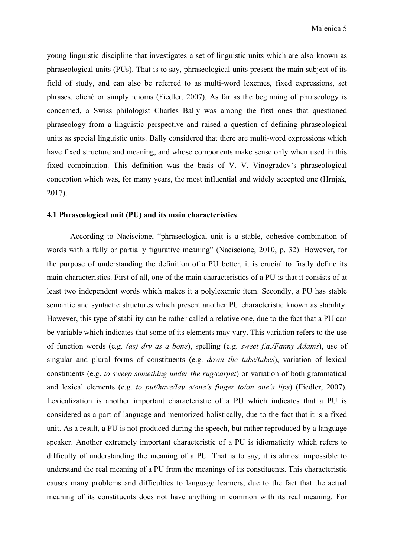young linguistic discipline that investigates a set of linguistic units which are also known as phraseological units (PUs). That is to say, phraseological units present the main subject of its field of study, and can also be referred to as multi-word lexemes, fixed expressions, set phrases, cliché or simply idioms (Fiedler, 2007). As far as the beginning of phraseology is concerned, a Swiss philologist Charles Bally was among the first ones that questioned phraseology from a linguistic perspective and raised a question of defining phraseological units as special linguistic units. Bally considered that there are multi-word expressions which have fixed structure and meaning, and whose components make sense only when used in this fixed combination. This definition was the basis of V. V. Vinogradov's phraseological conception which was, for many years, the most influential and widely accepted one (Hrnjak, 2017).

### **4.1 Phraseological unit (PU) and its main characteristics**

According to Naciscione, "phraseological unit is a stable, cohesive combination of words with a fully or partially figurative meaning" (Naciscione, 2010, p. 32). However, for the purpose of understanding the definition of a PU better, it is crucial to firstly define its main characteristics. First of all, one of the main characteristics of a PU is that it consists of at least two independent words which makes it a polylexemic item. Secondly, a PU has stable semantic and syntactic structures which present another PU characteristic known as stability. However, this type of stability can be rather called a relative one, due to the fact that a PU can be variable which indicates that some of its elements may vary. This variation refers to the use of function words (e.g. *(as) dry as a bone*), spelling (e.g. *sweet f.a./Fanny Adams*), use of singular and plural forms of constituents (e.g. *down the tube/tubes*), variation of lexical constituents (e.g. *to sweep something under the rug/carpet*) or variation of both grammatical and lexical elements (e.g. *to put/have/lay a/one's finger to/on one's lips*) (Fiedler, 2007). Lexicalization is another important characteristic of a PU which indicates that a PU is considered as a part of language and memorized holistically, due to the fact that it is a fixed unit. As a result, a PU is not produced during the speech, but rather reproduced by a language speaker. Another extremely important characteristic of a PU is idiomaticity which refers to difficulty of understanding the meaning of a PU. That is to say, it is almost impossible to understand the real meaning of a PU from the meanings of its constituents. This characteristic causes many problems and difficulties to language learners, due to the fact that the actual meaning of its constituents does not have anything in common with its real meaning. For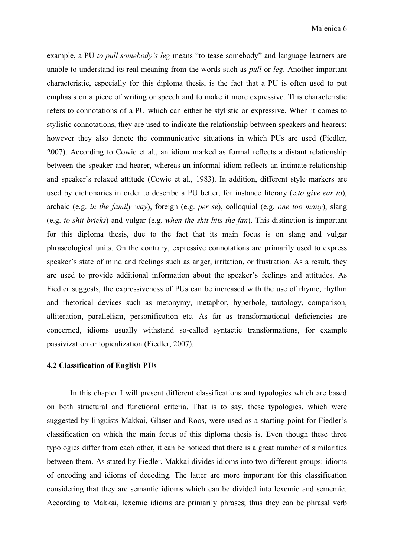example, a PU *to pull somebody's leg* means "to tease somebody" and language learners are unable to understand its real meaning from the words such as *pull* or *leg*. Another important characteristic, especially for this diploma thesis, is the fact that a PU is often used to put emphasis on a piece of writing or speech and to make it more expressive. This characteristic refers to connotations of a PU which can either be stylistic or expressive. When it comes to stylistic connotations, they are used to indicate the relationship between speakers and hearers; however they also denote the communicative situations in which PUs are used (Fiedler, 2007). According to Cowie et al., an idiom marked as formal reflects a distant relationship between the speaker and hearer, whereas an informal idiom reflects an intimate relationship and speaker's relaxed attitude (Cowie et al., 1983). In addition, different style markers are used by dictionaries in order to describe a PU better, for instance literary (e.*to give ear to*), archaic (e.g. *in the family way*), foreign (e.g. *per se*), colloquial (e.g. *one too many*), slang (e.g. *to shit bricks*) and vulgar (e.g. *when the shit hits the fan*). This distinction is important for this diploma thesis, due to the fact that its main focus is on slang and vulgar phraseological units. On the contrary, expressive connotations are primarily used to express speaker's state of mind and feelings such as anger, irritation, or frustration. As a result, they are used to provide additional information about the speaker's feelings and attitudes. As Fiedler suggests, the expressiveness of PUs can be increased with the use of rhyme, rhythm and rhetorical devices such as metonymy, metaphor, hyperbole, tautology, comparison, alliteration, parallelism, personification etc. As far as transformational deficiencies are concerned, idioms usually withstand so-called syntactic transformations, for example passivization or topicalization (Fiedler, 2007).

### **4.2 Classification of English PUs**

 In this chapter I will present different classifications and typologies which are based on both structural and functional criteria. That is to say, these typologies, which were suggested by linguists Makkai, Gläser and Roos, were used as a starting point for Fiedler's classification on which the main focus of this diploma thesis is. Even though these three typologies differ from each other, it can be noticed that there is a great number of similarities between them. As stated by Fiedler, Makkai divides idioms into two different groups: idioms of encoding and idioms of decoding. The latter are more important for this classification considering that they are semantic idioms which can be divided into lexemic and sememic. According to Makkai, lexemic idioms are primarily phrases; thus they can be phrasal verb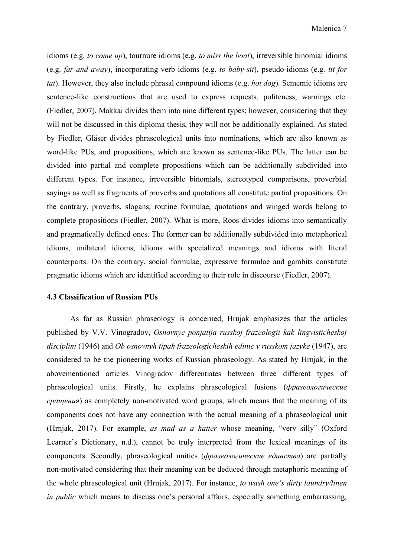idioms (e.g. *to come up*), tournure idioms (e.g. *to miss the boat*), irreversible binomial idioms (e.g. *far and away*), incorporating verb idioms (e.g. *to baby-sit*), pseudo-idioms (e.g. *tit for tat*). However, they also include phrasal compound idioms (e.g. *hot dog*). Sememic idioms are sentence-like constructions that are used to express requests, politeness, warnings etc. (Fiedler, 2007). Makkai divides them into nine different types; however, considering that they will not be discussed in this diploma thesis, they will not be additionally explained. As stated by Fiedler, Gläser divides phraseological units into nominations, which are also known as word-like PUs, and propositions, which are known as sentence-like PUs. The latter can be divided into partial and complete propositions which can be additionally subdivided into different types. For instance, irreversible binomials, stereotyped comparisons, proverbial sayings as well as fragments of proverbs and quotations all constitute partial propositions. On the contrary, proverbs, slogans, routine formulae, quotations and winged words belong to complete propositions (Fiedler, 2007). What is more, Roos divides idioms into semantically and pragmatically defined ones. The former can be additionally subdivided into metaphorical idioms, unilateral idioms, idioms with specialized meanings and idioms with literal counterparts. On the contrary, social formulae, expressive formulae and gambits constitute pragmatic idioms which are identified according to their role in discourse (Fiedler, 2007).

### **4.3 Classification of Russian PUs**

As far as Russian phraseology is concerned, Hrnjak emphasizes that the articles published by V.V. Vinogradov, *Osnovnye ponjatija russkoj frazeologii kak lingvisticheskoj disciplini* (1946) and *Ob osnovnyh tipah frazeologicheskih edinic v russkom jazyke* (1947), are considered to be the pioneering works of Russian phraseology. As stated by Hrnjak, in the abovementioned articles Vinogradov differentiates between three different types of phraseological units. Firstly, he explains phraseological fusions (*фразеологические сращения*) as completely non-motivated word groups, which means that the meaning of its components does not have any connection with the actual meaning of a phraseological unit (Hrnjak, 2017). For example, *as mad as a hatter* whose meaning, "very silly" (Oxford Learner's Dictionary, n.d.), cannot be truly interpreted from the lexical meanings of its components. Secondly, phraseological unities (*фразеологические единства*) are partially non-motivated considering that their meaning can be deduced through metaphoric meaning of the whole phraseological unit (Hrnjak, 2017). For instance, *to wash one's dirty laundry/linen in public* which means to discuss one's personal affairs, especially something embarrassing,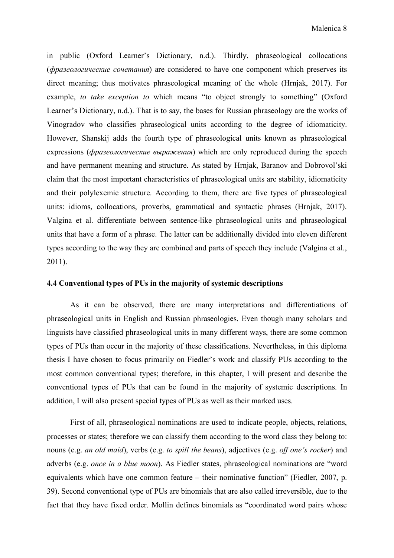in public (Oxford Learner's Dictionary, n.d.). Thirdly, phraseological collocations (*фразеологические сочетания*) are considered to have one component which preserves its direct meaning; thus motivates phraseological meaning of the whole (Hrnjak, 2017). For example, *to take exception to* which means "to object strongly to something" (Oxford Learner's Dictionary, n.d.). That is to say, the bases for Russian phraseology are the works of Vinogradov who classifies phraseological units according to the degree of idiomaticity. However, Shanskij adds the fourth type of phraseological units known as phraseological expressions (*фразеологические выражения*) which are only reproduced during the speech and have permanent meaning and structure. As stated by Hrnjak, Baranov and Dobrovol'ski claim that the most important characteristics of phraseological units are stability, idiomaticity and their polylexemic structure. According to them, there are five types of phraseological units: idioms, collocations, proverbs, grammatical and syntactic phrases (Hrnjak, 2017). Valgina et al. differentiate between sentence-like phraseological units and phraseological units that have a form of a phrase. The latter can be additionally divided into eleven different types according to the way they are combined and parts of speech they include (Valgina et al., 2011).

### **4.4 Conventional types of PUs in the majority of systemic descriptions**

As it can be observed, there are many interpretations and differentiations of phraseological units in English and Russian phraseologies. Even though many scholars and linguists have classified phraseological units in many different ways, there are some common types of PUs than occur in the majority of these classifications. Nevertheless, in this diploma thesis I have chosen to focus primarily on Fiedler's work and classify PUs according to the most common conventional types; therefore, in this chapter, I will present and describe the conventional types of PUs that can be found in the majority of systemic descriptions. In addition, I will also present special types of PUs as well as their marked uses.

 First of all, phraseological nominations are used to indicate people, objects, relations, processes or states; therefore we can classify them according to the word class they belong to: nouns (e.g. *an old maid*), verbs (e.g. *to spill the beans*), adjectives (e.g. *off one's rocker*) and adverbs (e.g. *once in a blue moon*). As Fiedler states, phraseological nominations are "word equivalents which have one common feature – their nominative function" (Fiedler, 2007, p. 39). Second conventional type of PUs are binomials that are also called irreversible, due to the fact that they have fixed order. Mollin defines binomials as "coordinated word pairs whose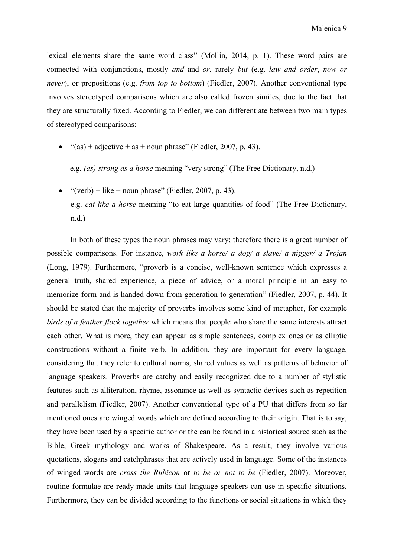lexical elements share the same word class" (Mollin, 2014, p. 1). These word pairs are connected with conjunctions, mostly *and* and *or*, rarely *but* (e.g. *law and order*, *now or never*), or prepositions (e.g. *from top to bottom*) (Fiedler, 2007). Another conventional type involves stereotyped comparisons which are also called frozen similes, due to the fact that they are structurally fixed. According to Fiedler, we can differentiate between two main types of stereotyped comparisons:

"(as) + adjective + as + noun phrase" (Fiedler, 2007, p. 43).

e.g*. (as) strong as a horse* meaning "very strong" (The Free Dictionary, n.d.)

• "(verb) + like + noun phrase" (Fiedler, 2007, p. 43). e.g. *eat like a horse* meaning "to eat large quantities of food" (The Free Dictionary, n.d.)

In both of these types the noun phrases may vary; therefore there is a great number of possible comparisons. For instance, *work like a horse/ a dog/ a slave/ a nigger/ a Trojan* (Long, 1979). Furthermore, "proverb is a concise, well-known sentence which expresses a general truth, shared experience, a piece of advice, or a moral principle in an easy to memorize form and is handed down from generation to generation" (Fiedler, 2007, p. 44). It should be stated that the majority of proverbs involves some kind of metaphor, for example *birds of a feather flock together* which means that people who share the same interests attract each other. What is more, they can appear as simple sentences, complex ones or as elliptic constructions without a finite verb. In addition, they are important for every language, considering that they refer to cultural norms, shared values as well as patterns of behavior of language speakers. Proverbs are catchy and easily recognized due to a number of stylistic features such as alliteration, rhyme, assonance as well as syntactic devices such as repetition and parallelism (Fiedler, 2007). Another conventional type of a PU that differs from so far mentioned ones are winged words which are defined according to their origin. That is to say, they have been used by a specific author or the can be found in a historical source such as the Bible, Greek mythology and works of Shakespeare. As a result, they involve various quotations, slogans and catchphrases that are actively used in language. Some of the instances of winged words are *cross the Rubicon* or *to be or not to be* (Fiedler, 2007). Moreover, routine formulae are ready-made units that language speakers can use in specific situations. Furthermore, they can be divided according to the functions or social situations in which they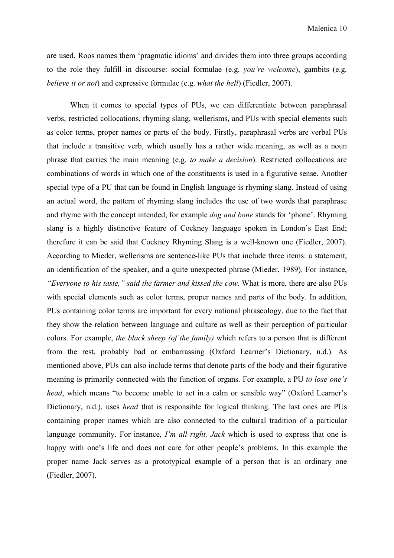are used. Roos names them 'pragmatic idioms' and divides them into three groups according to the role they fulfill in discourse: social formulae (e.g. *you're welcome*), gambits (e.g. *believe it or not*) and expressive formulae (e.g. *what the hell*) (Fiedler, 2007).

 When it comes to special types of PUs, we can differentiate between paraphrasal verbs, restricted collocations, rhyming slang, wellerisms, and PUs with special elements such as color terms, proper names or parts of the body. Firstly, paraphrasal verbs are verbal PUs that include a transitive verb, which usually has a rather wide meaning, as well as a noun phrase that carries the main meaning (e.g. *to make a decision*). Restricted collocations are combinations of words in which one of the constituents is used in a figurative sense. Another special type of a PU that can be found in English language is rhyming slang. Instead of using an actual word, the pattern of rhyming slang includes the use of two words that paraphrase and rhyme with the concept intended, for example *dog and bone* stands for 'phone'. Rhyming slang is a highly distinctive feature of Cockney language spoken in London's East End; therefore it can be said that Cockney Rhyming Slang is a well-known one (Fiedler, 2007). According to Mieder, wellerisms are sentence-like PUs that include three items: a statement, an identification of the speaker, and a quite unexpected phrase (Mieder, 1989). For instance, *"Everyone to his taste," said the farmer and kissed the cow*. What is more, there are also PUs with special elements such as color terms, proper names and parts of the body. In addition, PUs containing color terms are important for every national phraseology, due to the fact that they show the relation between language and culture as well as their perception of particular colors. For example, *the black sheep (of the family)* which refers to a person that is different from the rest, probably bad or embarrassing (Oxford Learner's Dictionary, n.d.). As mentioned above, PUs can also include terms that denote parts of the body and their figurative meaning is primarily connected with the function of organs. For example, a PU *to lose one's head*, which means "to become unable to act in a calm or sensible way" (Oxford Learner's Dictionary, n.d.), uses *head* that is responsible for logical thinking. The last ones are PUs containing proper names which are also connected to the cultural tradition of a particular language community. For instance, *I'm all right, Jack* which is used to express that one is happy with one's life and does not care for other people's problems. In this example the proper name Jack serves as a prototypical example of a person that is an ordinary one (Fiedler, 2007).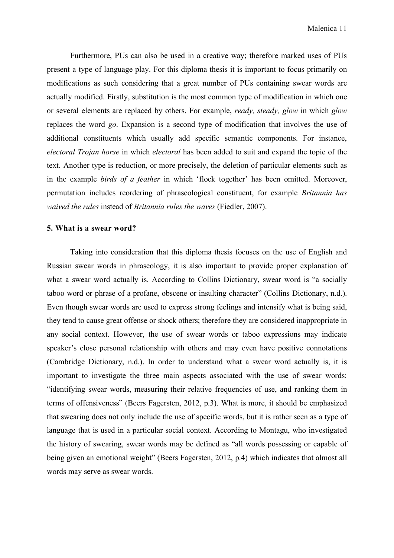Furthermore, PUs can also be used in a creative way; therefore marked uses of PUs present a type of language play. For this diploma thesis it is important to focus primarily on modifications as such considering that a great number of PUs containing swear words are actually modified. Firstly, substitution is the most common type of modification in which one or several elements are replaced by others. For example, *ready, steady, glow* in which *glow* replaces the word *go*. Expansion is a second type of modification that involves the use of additional constituents which usually add specific semantic components. For instance, *electoral Trojan horse* in which *electoral* has been added to suit and expand the topic of the text. Another type is reduction, or more precisely, the deletion of particular elements such as in the example *birds of a feather* in which 'flock together' has been omitted. Moreover, permutation includes reordering of phraseological constituent, for example *Britannia has waived the rules* instead of *Britannia rules the waves* (Fiedler, 2007).

### **5. What is a swear word?**

Taking into consideration that this diploma thesis focuses on the use of English and Russian swear words in phraseology, it is also important to provide proper explanation of what a swear word actually is. According to Collins Dictionary, swear word is "a socially taboo word or phrase of a profane, obscene or insulting character" (Collins Dictionary, n.d.). Even though swear words are used to express strong feelings and intensify what is being said, they tend to cause great offense or shock others; therefore they are considered inappropriate in any social context. However, the use of swear words or taboo expressions may indicate speaker's close personal relationship with others and may even have positive connotations (Cambridge Dictionary, n.d.). In order to understand what a swear word actually is, it is important to investigate the three main aspects associated with the use of swear words: "identifying swear words, measuring their relative frequencies of use, and ranking them in terms of offensiveness" (Beers Fagersten, 2012, p.3). What is more, it should be emphasized that swearing does not only include the use of specific words, but it is rather seen as a type of language that is used in a particular social context. According to Montagu, who investigated the history of swearing, swear words may be defined as "all words possessing or capable of being given an emotional weight" (Beers Fagersten, 2012, p.4) which indicates that almost all words may serve as swear words.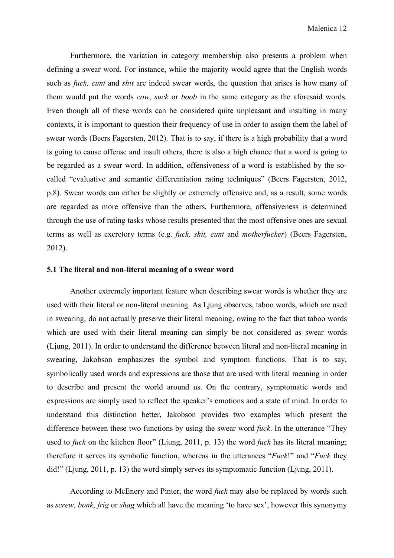Furthermore, the variation in category membership also presents a problem when defining a swear word. For instance, while the majority would agree that the English words such as *fuck, cunt* and *shit* are indeed swear words, the question that arises is how many of them would put the words *cow*, *suck* or *boob* in the same category as the aforesaid words. Even though all of these words can be considered quite unpleasant and insulting in many contexts, it is important to question their frequency of use in order to assign them the label of swear words (Beers Fagersten, 2012). That is to say, if there is a high probability that a word is going to cause offense and insult others, there is also a high chance that a word is going to be regarded as a swear word. In addition, offensiveness of a word is established by the socalled "evaluative and semantic differentiation rating techniques" (Beers Fagersten, 2012, p.8). Swear words can either be slightly or extremely offensive and, as a result, some words are regarded as more offensive than the others. Furthermore, offensiveness is determined through the use of rating tasks whose results presented that the most offensive ones are sexual terms as well as excretory terms (e.g. *fuck, shit, cunt* and *motherfucker*) (Beers Fagersten, 2012).

#### **5.1 The literal and non-literal meaning of a swear word**

Another extremely important feature when describing swear words is whether they are used with their literal or non-literal meaning. As Ljung observes, taboo words, which are used in swearing, do not actually preserve their literal meaning, owing to the fact that taboo words which are used with their literal meaning can simply be not considered as swear words (Ljung, 2011). In order to understand the difference between literal and non-literal meaning in swearing, Jakobson emphasizes the symbol and symptom functions. That is to say, symbolically used words and expressions are those that are used with literal meaning in order to describe and present the world around us. On the contrary, symptomatic words and expressions are simply used to reflect the speaker's emotions and a state of mind. In order to understand this distinction better, Jakobson provides two examples which present the difference between these two functions by using the swear word *fuck*. In the utterance "They used to *fuck* on the kitchen floor" (Ljung, 2011, p. 13) the word *fuck* has its literal meaning; therefore it serves its symbolic function, whereas in the utterances "*Fuck*!" and "*Fuck* they did!" (Ljung, 2011, p. 13) the word simply serves its symptomatic function (Ljung, 2011).

According to McEnery and Pinter, the word *fuck* may also be replaced by words such as *screw*, *bonk*, *frig* or *shag* which all have the meaning 'to have sex', however this synonymy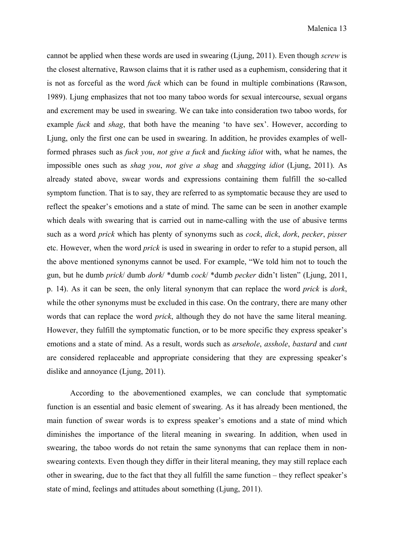cannot be applied when these words are used in swearing (Ljung, 2011). Even though *screw* is the closest alternative, Rawson claims that it is rather used as a euphemism, considering that it is not as forceful as the word *fuck* which can be found in multiple combinations (Rawson, 1989). Ljung emphasizes that not too many taboo words for sexual intercourse, sexual organs and excrement may be used in swearing. We can take into consideration two taboo words, for example *fuck* and *shag*, that both have the meaning 'to have sex'. However, according to Ljung, only the first one can be used in swearing. In addition, he provides examples of wellformed phrases such as *fuck you*, *not give a fuck* and *fucking idiot* with, what he names, the impossible ones such as *shag you*, *not give a shag* and *shagging idiot* (Ljung, 2011). As already stated above, swear words and expressions containing them fulfill the so-called symptom function. That is to say, they are referred to as symptomatic because they are used to reflect the speaker's emotions and a state of mind. The same can be seen in another example which deals with swearing that is carried out in name-calling with the use of abusive terms such as a word *prick* which has plenty of synonyms such as *cock*, *dick*, *dork*, *pecker*, *pisser* etc. However, when the word *prick* is used in swearing in order to refer to a stupid person, all the above mentioned synonyms cannot be used. For example, "We told him not to touch the gun, but he dumb *prick*/ dumb *dork*/ \*dumb *cock*/ \*dumb *pecker* didn't listen" (Ljung, 2011, p. 14). As it can be seen, the only literal synonym that can replace the word *prick* is *dork*, while the other synonyms must be excluded in this case. On the contrary, there are many other words that can replace the word *prick*, although they do not have the same literal meaning. However, they fulfill the symptomatic function, or to be more specific they express speaker's emotions and a state of mind. As a result, words such as *arsehole*, *asshole*, *bastard* and *cunt* are considered replaceable and appropriate considering that they are expressing speaker's dislike and annoyance (Ljung, 2011).

According to the abovementioned examples, we can conclude that symptomatic function is an essential and basic element of swearing. As it has already been mentioned, the main function of swear words is to express speaker's emotions and a state of mind which diminishes the importance of the literal meaning in swearing. In addition, when used in swearing, the taboo words do not retain the same synonyms that can replace them in nonswearing contexts. Even though they differ in their literal meaning, they may still replace each other in swearing, due to the fact that they all fulfill the same function – they reflect speaker's state of mind, feelings and attitudes about something (Ljung, 2011).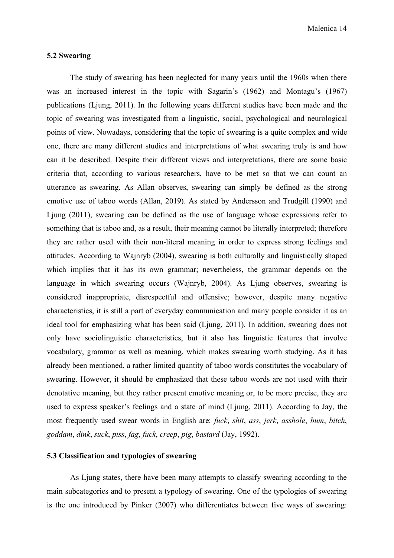### **5.2 Swearing**

The study of swearing has been neglected for many years until the 1960s when there was an increased interest in the topic with Sagarin's (1962) and Montagu's (1967) publications (Ljung, 2011). In the following years different studies have been made and the topic of swearing was investigated from a linguistic, social, psychological and neurological points of view. Nowadays, considering that the topic of swearing is a quite complex and wide one, there are many different studies and interpretations of what swearing truly is and how can it be described. Despite their different views and interpretations, there are some basic criteria that, according to various researchers, have to be met so that we can count an utterance as swearing. As Allan observes, swearing can simply be defined as the strong emotive use of taboo words (Allan, 2019). As stated by Andersson and Trudgill (1990) and Ljung (2011), swearing can be defined as the use of language whose expressions refer to something that is taboo and, as a result, their meaning cannot be literally interpreted; therefore they are rather used with their non-literal meaning in order to express strong feelings and attitudes. According to Wajnryb (2004), swearing is both culturally and linguistically shaped which implies that it has its own grammar; nevertheless, the grammar depends on the language in which swearing occurs (Wajnryb, 2004). As Ljung observes, swearing is considered inappropriate, disrespectful and offensive; however, despite many negative characteristics, it is still a part of everyday communication and many people consider it as an ideal tool for emphasizing what has been said (Ljung, 2011). In addition, swearing does not only have sociolinguistic characteristics, but it also has linguistic features that involve vocabulary, grammar as well as meaning, which makes swearing worth studying. As it has already been mentioned, a rather limited quantity of taboo words constitutes the vocabulary of swearing. However, it should be emphasized that these taboo words are not used with their denotative meaning, but they rather present emotive meaning or, to be more precise, they are used to express speaker's feelings and a state of mind (Ljung, 2011). According to Jay, the most frequently used swear words in English are: *fuck*, *shit*, *ass*, *jerk*, *asshole*, *bum*, *bitch*, *goddam*, *dink*, *suck*, *piss*, *fag*, *fuck*, *creep*, *pig*, *bastard* (Jay, 1992).

### **5.3 Classification and typologies of swearing**

As Ljung states, there have been many attempts to classify swearing according to the main subcategories and to present a typology of swearing. One of the typologies of swearing is the one introduced by Pinker (2007) who differentiates between five ways of swearing: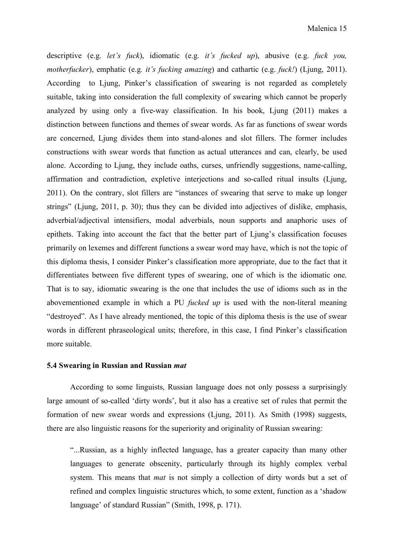descriptive (e.g. *let's fuck*), idiomatic (e.g. *it's fucked up*), abusive (e.g. *fuck you, motherfucker*), emphatic (e.g*. it's fucking amazing*) and cathartic (e.g. *fuck!*) (Ljung, 2011). According to Ljung, Pinker's classification of swearing is not regarded as completely suitable, taking into consideration the full complexity of swearing which cannot be properly analyzed by using only a five-way classification. In his book, Ljung (2011) makes a distinction between functions and themes of swear words. As far as functions of swear words are concerned, Ljung divides them into stand-alones and slot fillers. The former includes constructions with swear words that function as actual utterances and can, clearly, be used alone. According to Ljung, they include oaths, curses, unfriendly suggestions, name-calling, affirmation and contradiction, expletive interjections and so-called ritual insults (Ljung, 2011). On the contrary, slot fillers are "instances of swearing that serve to make up longer strings" (Ljung, 2011, p. 30); thus they can be divided into adjectives of dislike, emphasis, adverbial/adjectival intensifiers, modal adverbials, noun supports and anaphoric uses of epithets. Taking into account the fact that the better part of Ljung's classification focuses primarily on lexemes and different functions a swear word may have, which is not the topic of this diploma thesis, I consider Pinker's classification more appropriate, due to the fact that it differentiates between five different types of swearing, one of which is the idiomatic one. That is to say, idiomatic swearing is the one that includes the use of idioms such as in the abovementioned example in which a PU *fucked up* is used with the non-literal meaning "destroyed". As I have already mentioned, the topic of this diploma thesis is the use of swear words in different phraseological units; therefore, in this case, I find Pinker's classification more suitable.

#### **5.4 Swearing in Russian and Russian** *mat*

According to some linguists, Russian language does not only possess a surprisingly large amount of so-called 'dirty words', but it also has a creative set of rules that permit the formation of new swear words and expressions (Ljung, 2011). As Smith (1998) suggests, there are also linguistic reasons for the superiority and originality of Russian swearing:

"...Russian, as a highly inflected language, has a greater capacity than many other languages to generate obscenity, particularly through its highly complex verbal system. This means that *mat* is not simply a collection of dirty words but a set of refined and complex linguistic structures which, to some extent, function as a 'shadow language' of standard Russian" (Smith, 1998, p. 171).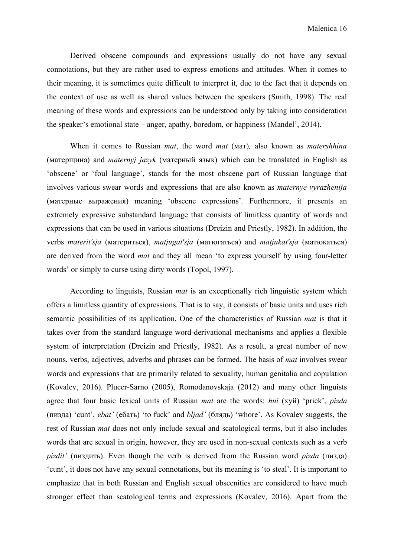Derived obscene compounds and expressions usually do not have any sexual connotations, but they are rather used to express emotions and attitudes. When it comes to their meaning, it is sometimes quite difficult to interpret it, due to the fact that it depends on the context of use as well as shared values between the speakers (Smith, 1998). The real meaning of these words and expressions can be understood only by taking into consideration the speaker's emotional state – anger, apathy, boredom, or happiness (Mandel', 2014).

When it comes to Russian *mat*, the word *mat* (мат)*,* also known as *matershhina* (матерщина) and *maternyj jazyk* (матерный язык) which can be translated in English as 'obscene' or 'foul language', stands for the most obscene part of Russian language that involves various swear words and expressions that are also known as *maternye vyrazhenija* (матерные выражения) meaning 'obscene expressions'*.* Furthermore, it presents an extremely expressive substandard language that consists of limitless quantity of words and expressions that can be used in various situations (Dreizin and Priestly, 1982). In addition, the verbs *materit'sja* (материться), *matjugat'sja* (матюгаться) and *matjukat'sja* (матюкаться) are derived from the word *mat* and they all mean 'to express yourself by using four-letter words' or simply to curse using dirty words (Topol, 1997).

According to linguists, Russian *mat* is an exceptionally rich linguistic system which offers a limitless quantity of expressions. That is to say, it consists of basic units and uses rich semantic possibilities of its application. One of the characteristics of Russian *mat* is that it takes over from the standard language word-derivational mechanisms and applies a flexible system of interpretation (Dreizin and Priestly, 1982). As a result, a great number of new nouns, verbs, adjectives, adverbs and phrases can be formed. The basis of *mat* involves swear words and expressions that are primarily related to sexuality, human genitalia and copulation (Kovalev, 2016). Plucer-Sarno (2005), Romodanovskaja (2012) and many other linguists agree that four basic lexical units of Russian *mat* are the words: *hui* (хуй) 'prick', *pizda* (пизда) 'cunt', *ebat'* (ебать) 'to fuck' and *bljad'* (блядь) 'whore'. As Kovalev suggests, the rest of Russian *mat* does not only include sexual and scatological terms, but it also includes words that are sexual in origin, however, they are used in non-sexual contexts such as a verb *pizdit'* (пиздить). Even though the verb is derived from the Russian word *pizda* (пизда) 'cunt', it does not have any sexual connotations, but its meaning is 'to steal'. It is important to emphasize that in both Russian and English sexual obscenities are considered to have much stronger effect than scatological terms and expressions (Kovalev, 2016). Apart from the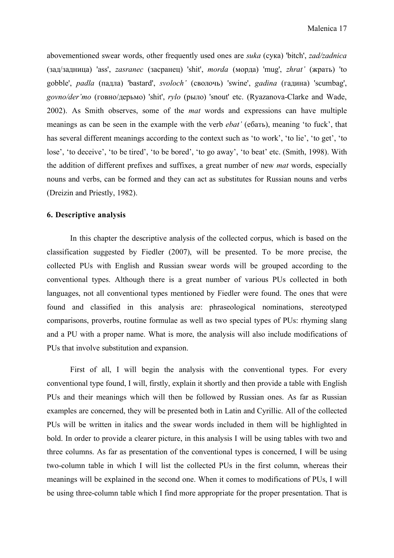abovementioned swear words, other frequently used ones are *suka* (сука) 'bitch', *zad/zadnica* (зад/задница) 'ass', *zasranec* (засранец) 'shit', *morda* (морда) 'mug', *zhrat'* (жрать) 'to gobble', *padla* (падла) 'bastard', *svoloch'* (сволочь) 'swine', *gadina* (гадина) 'scumbag', *govno/der'mo* (говно/дерьмо) 'shit', *rylo* (рыло) 'snout' etc. (Ryazanova-Clarke and Wade, 2002). As Smith observes, some of the *mat* words and expressions can have multiple meanings as can be seen in the example with the verb *ebat'* (ебать), meaning 'to fuck', that has several different meanings according to the context such as 'to work', 'to lie', 'to get', 'to lose', 'to deceive', 'to be tired', 'to be bored', 'to go away', 'to beat' etc. (Smith, 1998). With the addition of different prefixes and suffixes, a great number of new *mat* words, especially nouns and verbs, can be formed and they can act as substitutes for Russian nouns and verbs (Dreizin and Priestly, 1982).

### **6. Descriptive analysis**

 In this chapter the descriptive analysis of the collected corpus, which is based on the classification suggested by Fiedler (2007), will be presented. To be more precise, the collected PUs with English and Russian swear words will be grouped according to the conventional types. Although there is a great number of various PUs collected in both languages, not all conventional types mentioned by Fiedler were found. The ones that were found and classified in this analysis are: phraseological nominations, stereotyped comparisons, proverbs, routine formulae as well as two special types of PUs: rhyming slang and a PU with a proper name. What is more, the analysis will also include modifications of PUs that involve substitution and expansion.

First of all, I will begin the analysis with the conventional types. For every conventional type found, I will, firstly, explain it shortly and then provide a table with English PUs and their meanings which will then be followed by Russian ones. As far as Russian examples are concerned, they will be presented both in Latin and Cyrillic. All of the collected PUs will be written in italics and the swear words included in them will be highlighted in bold. In order to provide a clearer picture, in this analysis I will be using tables with two and three columns. As far as presentation of the conventional types is concerned, I will be using two-column table in which I will list the collected PUs in the first column, whereas their meanings will be explained in the second one. When it comes to modifications of PUs, I will be using three-column table which I find more appropriate for the proper presentation. That is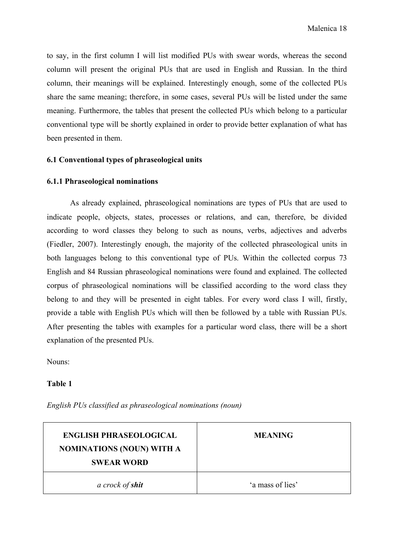to say, in the first column I will list modified PUs with swear words, whereas the second column will present the original PUs that are used in English and Russian. In the third column, their meanings will be explained. Interestingly enough, some of the collected PUs share the same meaning; therefore, in some cases, several PUs will be listed under the same meaning. Furthermore, the tables that present the collected PUs which belong to a particular conventional type will be shortly explained in order to provide better explanation of what has been presented in them.

### **6.1 Conventional types of phraseological units**

### **6.1.1 Phraseological nominations**

 As already explained, phraseological nominations are types of PUs that are used to indicate people, objects, states, processes or relations, and can, therefore, be divided according to word classes they belong to such as nouns, verbs, adjectives and adverbs (Fiedler, 2007). Interestingly enough, the majority of the collected phraseological units in both languages belong to this conventional type of PUs. Within the collected corpus 73 English and 84 Russian phraseological nominations were found and explained. The collected corpus of phraseological nominations will be classified according to the word class they belong to and they will be presented in eight tables. For every word class I will, firstly, provide a table with English PUs which will then be followed by a table with Russian PUs. After presenting the tables with examples for a particular word class, there will be a short explanation of the presented PUs.

Nouns:

### **Table 1**

*English PUs classified as phraseological nominations (noun)* 

| <b>ENGLISH PHRASEOLOGICAL</b><br><b>NOMINATIONS (NOUN) WITH A</b><br><b>SWEAR WORD</b> | <b>MEANING</b>   |
|----------------------------------------------------------------------------------------|------------------|
| a crock of <b>shit</b>                                                                 | 'a mass of lies' |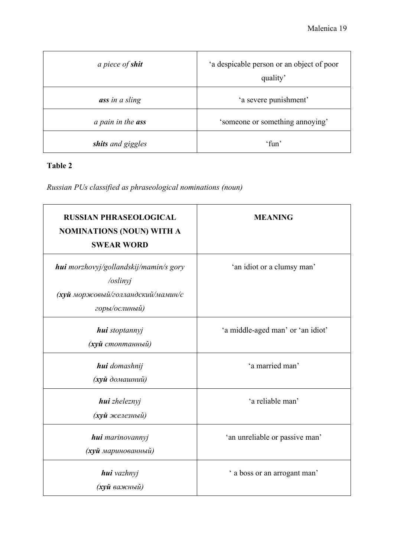| a piece of <b>shit</b>   | 'a despicable person or an object of poor<br>quality' |
|--------------------------|-------------------------------------------------------|
| ass in a sling           | 'a severe punishment'                                 |
| a pain in the <b>ass</b> | 'someone or something annoying'                       |
| shits and giggles        | $'$ fun'                                              |

## **Table 2**

*Russian PUs classified as phraseological nominations (noun)* 

| <b>RUSSIAN PHRASEOLOGICAL</b><br><b>NOMINATIONS (NOUN) WITH A</b><br><b>SWEAR WORD</b>                   | <b>MEANING</b>                    |
|----------------------------------------------------------------------------------------------------------|-----------------------------------|
| hui morzhovyj/gollandskij/mamin/s gory<br>/oslinyj<br>(хуй моржовый/голландский/мамин/с<br>горы/ослиный) | 'an idiot or a clumsy man'        |
| hui stoptannyj<br>(хуй стоптанный)                                                                       | 'a middle-aged man' or 'an idiot' |
| <b>hui</b> domashnij<br>(хуй домашний)                                                                   | 'a married man'                   |
| hui zheleznyj<br>(хуй железный)                                                                          | 'a reliable man'                  |
| hui marinovannyj<br>(хуй маринованный)                                                                   | 'an unreliable or passive man'    |
| hui vazhnyj<br>( <b>хуй</b> важный)                                                                      | ' a boss or an arrogant man'      |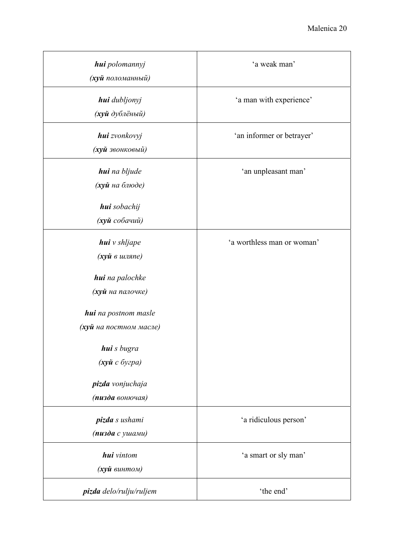| hui polomannyj<br>(хуй поломанный)                                                                                                                                                                    | 'a weak man'               |
|-------------------------------------------------------------------------------------------------------------------------------------------------------------------------------------------------------|----------------------------|
| hui dubljonyj<br>(хуй дублёный)                                                                                                                                                                       | 'a man with experience'    |
| hui zvonkovyj<br>(хуй звонковый)                                                                                                                                                                      | 'an informer or betrayer'  |
| hui na bljude<br>(хуй на блюде)<br>hui sobachij                                                                                                                                                       | 'an unpleasant man'        |
| (хуй собачий)                                                                                                                                                                                         |                            |
| hui v shljape<br>(хуй в шляпе)<br>hui na palochke<br>(хуй на палочке)<br><b>hui</b> na postnom masle<br>(хуй на постном масле)<br>hui s bugra<br>(хуй с бугра)<br>pizda vonjuchaja<br>(пизда вонючая) | 'a worthless man or woman' |
| pizda s ushami<br>(пизда с ушами)                                                                                                                                                                     | 'a ridiculous person'      |
| <b>hui</b> vintom<br>(хуй винтом)                                                                                                                                                                     | 'a smart or sly man'       |
| pizda delo/rulju/ruljem                                                                                                                                                                               | 'the end'                  |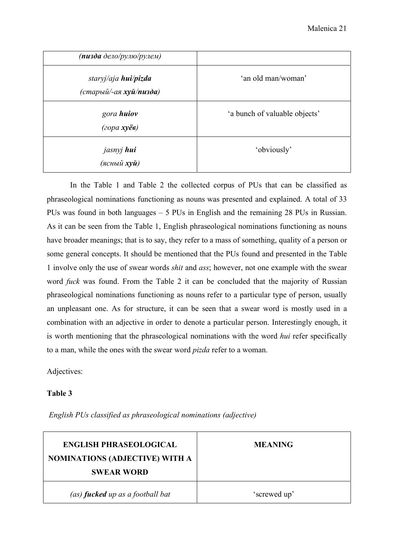| (пизда дело/рулю/рулем)                               |                               |
|-------------------------------------------------------|-------------------------------|
| staryj/aja <b>hui/pizda</b><br>(старый/-ая хуй/пизда) | 'an old man/woman'            |
| gora huiov<br>$(20pa x$ yë $\theta)$                  | 'a bunch of valuable objects' |
| jasnyj hui<br>(ясный <b>хуй</b> )                     | 'obviously'                   |

 In the Table 1 and Table 2 the collected corpus of PUs that can be classified as phraseological nominations functioning as nouns was presented and explained. A total of 33 PUs was found in both languages – 5 PUs in English and the remaining 28 PUs in Russian. As it can be seen from the Table 1, English phraseological nominations functioning as nouns have broader meanings; that is to say, they refer to a mass of something, quality of a person or some general concepts. It should be mentioned that the PUs found and presented in the Table 1 involve only the use of swear words *shit* and *ass*; however, not one example with the swear word *fuck* was found. From the Table 2 it can be concluded that the majority of Russian phraseological nominations functioning as nouns refer to a particular type of person, usually an unpleasant one. As for structure, it can be seen that a swear word is mostly used in a combination with an adjective in order to denote a particular person. Interestingly enough, it is worth mentioning that the phraseological nominations with the word *hui* refer specifically to a man, while the ones with the swear word *pizda* refer to a woman.

Adjectives:

### **Table 3**

| <b>ENGLISH PHRASEOLOGICAL</b><br><b>NOMINATIONS (ADJECTIVE) WITH A</b><br><b>SWEAR WORD</b> | <b>MEANING</b> |
|---------------------------------------------------------------------------------------------|----------------|
| (as) <b>fucked</b> up as a football bat                                                     | 'screwed up'   |

 *English PUs classified as phraseological nominations (adjective)*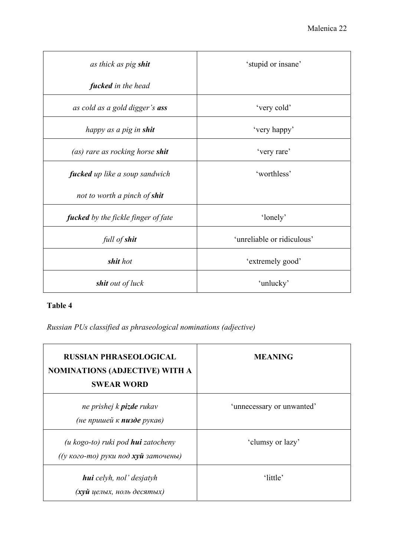| as thick as pig shit                       | 'stupid or insane'         |
|--------------------------------------------|----------------------------|
| fucked in the head                         |                            |
| as cold as a gold digger's <b>ass</b>      | 'very cold'                |
| happy as a pig in shit                     | 'very happy'               |
| (as) rare as rocking horse shit            | 'very rare'                |
| fucked up like a soup sandwich             | 'worthless'                |
| not to worth a pinch of <b>shit</b>        |                            |
| <b>fucked</b> by the fickle finger of fate | 'lonely'                   |
| full of shit                               | 'unreliable or ridiculous' |
| shit hot                                   | 'extremely good'           |
| shit out of luck                           | 'unlucky'                  |

## **Table 4**

*Russian PUs classified as phraseological nominations (adjective)* 

| <b>RUSSIAN PHRASEOLOGICAL</b><br><b>NOMINATIONS (ADJECTIVE) WITH A</b><br><b>SWEAR WORD</b> | <b>MEANING</b>            |
|---------------------------------------------------------------------------------------------|---------------------------|
| ne prishej k <b>pizde</b> rukav<br>(не пришей к пизде рукав)                                | 'unnecessary or unwanted' |
| $(u \, kogo-to)$ ruki pod <b>hui</b> zatocheny<br>((у кого-то) руки под хуй заточены)       | 'clumsy or lazy'          |
| <b>hui</b> celyh, nol' desjatyh<br>(хуй целых, ноль десятых)                                | 'little'                  |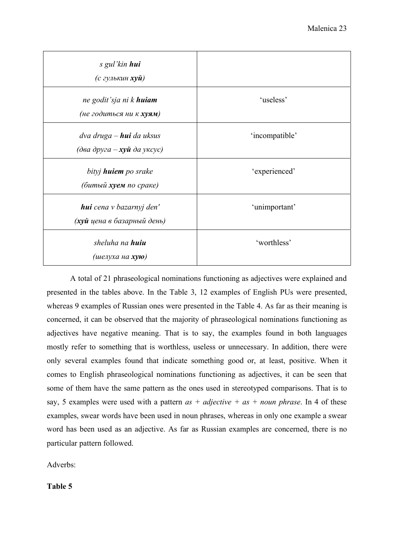| s gul'kin hui<br>(с гулькин <b>хуй</b> )                             |                |
|----------------------------------------------------------------------|----------------|
| ne godit'sja ni k <b>huiam</b><br>(не годиться ни к хуям)            | 'useless'      |
| dva druga – <b>hui</b> da uksus<br>(два друга – <b>хуй</b> да уксус) | 'incompatible' |
| bityj <b>huiem</b> po srake<br>(битый хуем по сраке)                 | 'experienced'  |
| <b>hui</b> cena v bazarnyj den'<br>(хуй цена в базарный день)        | 'unimportant'  |
| sheluha na <b>huiu</b><br>(шелуха на <b>хую</b> )                    | 'worthless'    |

A total of 21 phraseological nominations functioning as adjectives were explained and presented in the tables above. In the Table 3, 12 examples of English PUs were presented, whereas 9 examples of Russian ones were presented in the Table 4. As far as their meaning is concerned, it can be observed that the majority of phraseological nominations functioning as adjectives have negative meaning. That is to say, the examples found in both languages mostly refer to something that is worthless, useless or unnecessary. In addition, there were only several examples found that indicate something good or, at least, positive. When it comes to English phraseological nominations functioning as adjectives, it can be seen that some of them have the same pattern as the ones used in stereotyped comparisons. That is to say, 5 examples were used with a pattern *as + adjective + as + noun phrase*. In 4 of these examples, swear words have been used in noun phrases, whereas in only one example a swear word has been used as an adjective. As far as Russian examples are concerned, there is no particular pattern followed.

Adverbs:

**Table 5**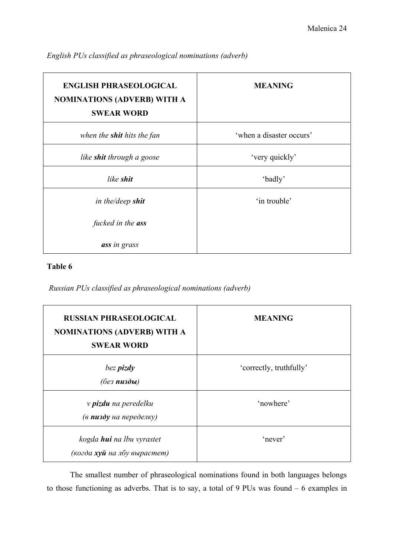| <b>ENGLISH PHRASEOLOGICAL</b><br><b>NOMINATIONS (ADVERB) WITH A</b><br><b>SWEAR WORD</b> | <b>MEANING</b>           |
|------------------------------------------------------------------------------------------|--------------------------|
| when the <b>shit</b> hits the fan                                                        | 'when a disaster occurs' |
| like shit through a goose                                                                | 'very quickly'           |
| like <b>shit</b>                                                                         | 'badly'                  |
| in the/deep shit                                                                         | 'in trouble'             |
| fucked in the ass                                                                        |                          |
| ass in grass                                                                             |                          |

*English PUs classified as phraseological nominations (adverb)* 

### **Table 6**

 *Russian PUs classified as phraseological nominations (adverb)* 

| <b>RUSSIAN PHRASEOLOGICAL</b><br><b>NOMINATIONS (ADVERB) WITH A</b><br><b>SWEAR WORD</b> | <b>MEANING</b>          |
|------------------------------------------------------------------------------------------|-------------------------|
| bez pizdy<br>(без пизды)                                                                 | 'correctly, truthfully' |
| v <b>pizdu</b> na peredelku<br>(в пизду на переделку)                                    | 'nowhere'               |
| kogda <b>hui</b> na lbu vyrastet<br>(когда хуй на лбу вырастет)                          | 'never'                 |

The smallest number of phraseological nominations found in both languages belongs to those functioning as adverbs. That is to say, a total of 9 PUs was found – 6 examples in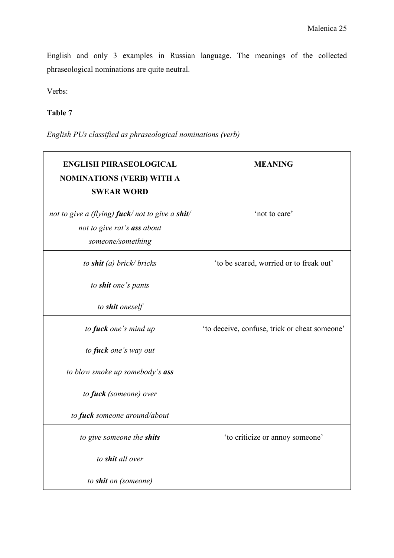English and only 3 examples in Russian language. The meanings of the collected phraseological nominations are quite neutral.

Verbs:

### **Table 7**

*English PUs classified as phraseological nominations (verb)* 

| <b>ENGLISH PHRASEOLOGICAL</b><br><b>NOMINATIONS (VERB) WITH A</b><br><b>SWEAR WORD</b>              | <b>MEANING</b>                                |
|-----------------------------------------------------------------------------------------------------|-----------------------------------------------|
| not to give a (flying) fuck/not to give a shit/<br>not to give rat's ass about<br>someone/something | 'not to care'                                 |
| to shit (a) brick/ bricks                                                                           | 'to be scared, worried or to freak out'       |
| to shit one's pants                                                                                 |                                               |
| to shit oneself                                                                                     |                                               |
| to fuck one's mind up                                                                               | 'to deceive, confuse, trick or cheat someone' |
| to fuck one's way out                                                                               |                                               |
| to blow smoke up somebody's ass                                                                     |                                               |
| to fuck (someone) over                                                                              |                                               |
| to fuck someone around/about                                                                        |                                               |
| to give someone the shits                                                                           | 'to criticize or annoy someone'               |
| to shit all over                                                                                    |                                               |
| to shit on (someone)                                                                                |                                               |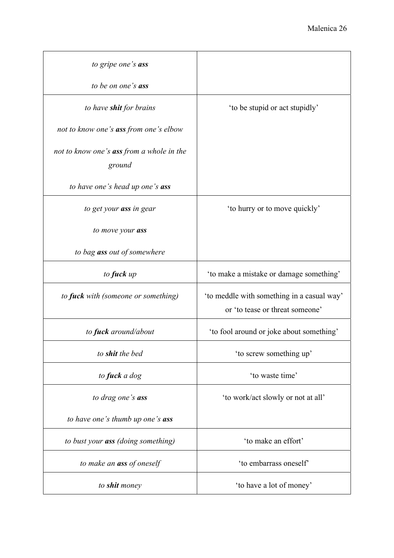| to gripe one's ass                                         |                                                                               |
|------------------------------------------------------------|-------------------------------------------------------------------------------|
| to be on one's <b>ass</b>                                  |                                                                               |
| to have <b>shit</b> for brains                             | 'to be stupid or act stupidly'                                                |
| not to know one's <b>ass</b> from one's elbow              |                                                                               |
| not to know one's <b>ass</b> from a whole in the<br>ground |                                                                               |
| to have one's head up one's ass                            |                                                                               |
| to get your ass in gear                                    | 'to hurry or to move quickly'                                                 |
| to move your ass                                           |                                                                               |
| to bag ass out of somewhere                                |                                                                               |
| to fuck up                                                 | 'to make a mistake or damage something'                                       |
| to <b>fuck</b> with (someone or something)                 | 'to meddle with something in a casual way'<br>or 'to tease or threat someone' |
| to <b>fuck</b> around/about                                | 'to fool around or joke about something'                                      |
| to shit the bed                                            | 'to screw something up'                                                       |
| to fuck a dog                                              | 'to waste time'                                                               |
| to drag one's ass                                          | 'to work/act slowly or not at all'                                            |
| to have one's thumb up one's <b>ass</b>                    |                                                                               |
| to bust your <b>ass</b> (doing something)                  | 'to make an effort'                                                           |
| to make an <b>ass</b> of oneself                           | 'to embarrass oneself'                                                        |
| to shit money                                              | 'to have a lot of money'                                                      |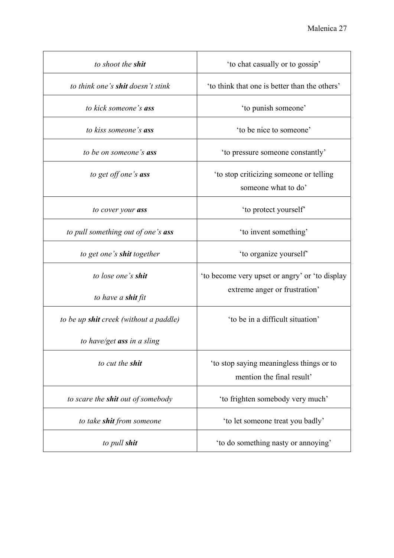| to shoot the <b>shit</b>                      | 'to chat casually or to gossip'                                |
|-----------------------------------------------|----------------------------------------------------------------|
| to think one's shit doesn't stink             | 'to think that one is better than the others'                  |
| to kick someone's ass                         | 'to punish someone'                                            |
| to kiss someone's <b>ass</b>                  | 'to be nice to someone'                                        |
| to be on someone's ass                        | 'to pressure someone constantly'                               |
| to get off one's ass                          | 'to stop criticizing someone or telling<br>someone what to do' |
| to cover your ass                             | 'to protect yourself'                                          |
| to pull something out of one's ass            | 'to invent something'                                          |
| to get one's <b>shit</b> together             | 'to organize yourself'                                         |
| to lose one's <b>shit</b>                     | 'to become very upset or angry' or 'to display                 |
| to have a <b>shit</b> fit                     | extreme anger or frustration'                                  |
| to be up <b>shit</b> creek (without a paddle) | 'to be in a difficult situation'                               |
| to have/get ass in a sling                    |                                                                |
| to cut the shit                               | 'to stop saying meaningless things or to                       |
|                                               | mention the final result'                                      |
| to scare the <b>shit</b> out of somebody      | 'to frighten somebody very much'                               |
| to take <b>shit</b> from someone              | 'to let someone treat you badly'                               |
| to pull shit                                  | 'to do something nasty or annoying'                            |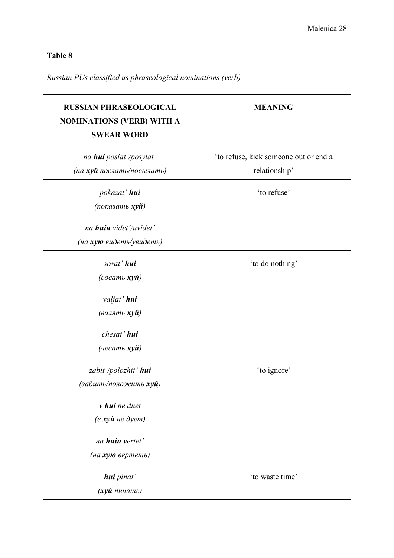## **Table 8**

## *Russian PUs classified as phraseological nominations (verb)*

| <b>RUSSIAN PHRASEOLOGICAL</b><br><b>NOMINATIONS (VERB) WITH A</b><br><b>SWEAR WORD</b> | <b>MEANING</b>                        |
|----------------------------------------------------------------------------------------|---------------------------------------|
| na hui poslat'/posylat'                                                                | 'to refuse, kick someone out or end a |
| (на хуй послать/посылать)                                                              | relationship'                         |
| pokazat' hui                                                                           | 'to refuse'                           |
| (показать $xy\ddot{u}$ )                                                               |                                       |
| na huiu videt'/uvidet'                                                                 |                                       |
| (на хую видеть/увидеть)                                                                |                                       |
| sosat' hui                                                                             | 'to do nothing'                       |
| (cocam <sub>b</sub> xy <sub>u</sub> )                                                  |                                       |
| valjat' hui                                                                            |                                       |
| (валять хуй)                                                                           |                                       |
| chesat' hui                                                                            |                                       |
| $($ uecamb xy $\check{u}$ )                                                            |                                       |
| zabit'/polozhit' hui                                                                   | 'to ignore'                           |
| (забить/положить хуй)                                                                  |                                       |
| $\nu$ hui ne duet                                                                      |                                       |
| $(a x y \tilde{u}$ <i>he dyem</i> $)$                                                  |                                       |
| na <b>huiu</b> vertet'                                                                 |                                       |
| (на хую вертеть)                                                                       |                                       |
| hui pinat'                                                                             | 'to waste time'                       |
| (хуй пинать)                                                                           |                                       |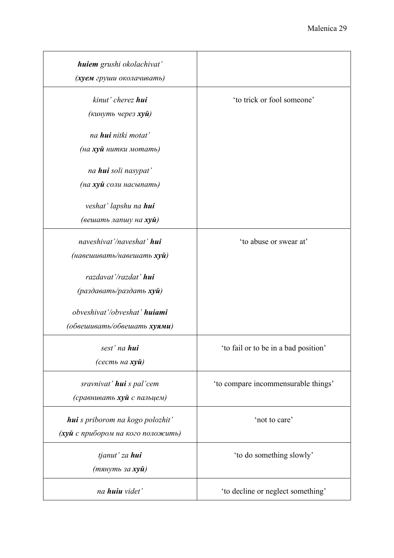| huiem grushi okolachivat'<br>(хуем груши околачивать)                 |                                      |
|-----------------------------------------------------------------------|--------------------------------------|
| kinut' cherez hui<br>(кинуть через <b>хуй</b> )                       | 'to trick or fool someone'           |
| na <b>hui</b> nitki motat'<br>(на <b>хуй</b> нитки мотать)            |                                      |
| na <b>hui</b> soli nasypat'<br>(на хуй соли насыпать)                 |                                      |
| veshat' lapshu na hui<br>(вешать лапшу на <b>хуй</b> )                |                                      |
| naveshivat'/naveshat' hui<br>(навешивать/навешать хуй)                | 'to abuse or swear at'               |
| razdavat'/razdat' hui<br>(раздавать/раздать хуй)                      |                                      |
| obveshivat'/obveshat' huiami<br>(обвешивать/обвешать хуями)           |                                      |
| sest' na hui<br>(сесть на хуй)                                        | 'to fail or to be in a bad position' |
| sravnivat' hui s pal'cem<br>(сравнивать хуй с пальцем)                | 'to compare incommensurable things'  |
| hui s priborom na kogo polozhit'<br>(хуй с прибором на кого положить) | 'not to care'                        |
| tjanut' za hui<br>(тянуть за <b>хуй</b> )                             | 'to do something slowly'             |
| na huiu videt'                                                        | 'to decline or neglect something'    |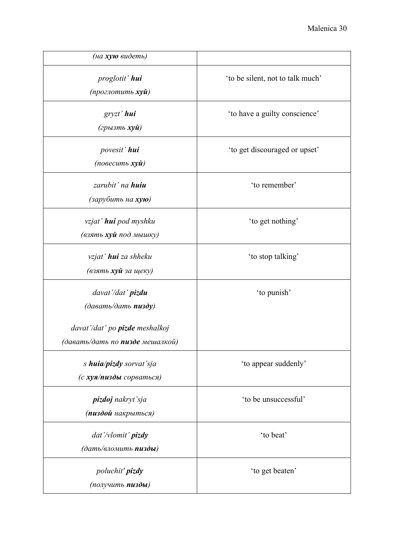| (на хую видеть)                                                                                                                                            |                                  |
|------------------------------------------------------------------------------------------------------------------------------------------------------------|----------------------------------|
| proglotit' hui<br>(проглотить <b>хуй</b> )                                                                                                                 | 'to be silent, not to talk much' |
| gryzt' hui<br>(грызть <b>хуй</b> )                                                                                                                         | 'to have a guilty conscience'    |
| povesit' hui<br>(повесить <b>хуй</b> )                                                                                                                     | 'to get discouraged or upset'    |
| zarubit' na <b>huiu</b><br>(зарубить на <b>хую</b> )                                                                                                       | 'to remember'                    |
| vzjat' <b>hui</b> pod myshku<br>(взять хуй под мышку)                                                                                                      | 'to get nothing'                 |
| vzjat' <b>hui</b> za shheku<br>(взять хуй за щеку)                                                                                                         | 'to stop talking'                |
| davat'/dat' pizdu<br>$(\partial a \alpha a m b / \partial a m b$ nusdy)<br>davat'/dat' po <b>pizde</b> meshalkoj<br>(давать/дать по <b>пизде</b> мешалкой) | 'to punish'                      |
| s huia/pizdy sorvat'sja<br>(с хуя/пизды сорваться)                                                                                                         | 'to appear suddenly'             |
| pizdoj nakryt'sja<br>(пиздой накрыться)                                                                                                                    | 'to be unsuccessful'             |
| dat'/vlomit' pizdy<br>(дать/вломить пизды)                                                                                                                 | 'to beat'                        |
| poluchit' pizdy<br>(получить пизды)                                                                                                                        | 'to get beaten'                  |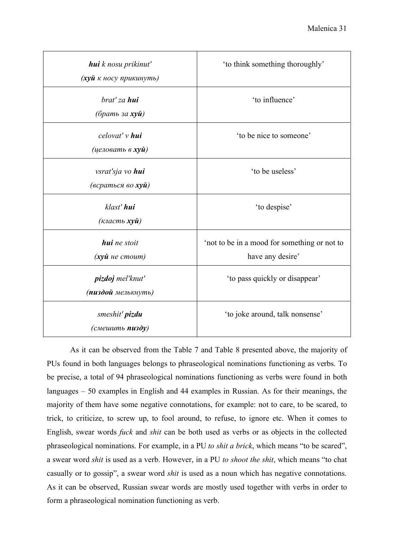| <b>hui</b> k nosu prikinut'<br>(хуй к носу прикинуть)              | 'to think something thoroughly'                                  |
|--------------------------------------------------------------------|------------------------------------------------------------------|
| brat' za <b>hui</b><br>(брать за <b>хуй</b> )                      | 'to influence'                                                   |
| celovat' v hui<br>(целовать в <b>хуй</b> )                         | 'to be nice to someone'                                          |
| vsrat'sja vo hui<br>(всраться во <b>хуй</b> )                      | 'to be useless'                                                  |
| klast' hui<br>(класть <b>хуй</b> )                                 | 'to despise'                                                     |
| <b>hui</b> ne stoit<br>$(x$ <i>y</i> $\tilde{u}$ <i>ne cmoum</i> ) | 'not to be in a mood for something or not to<br>have any desire' |
| pizdoj mel'knut'<br>(пиздой мелькнуть)                             | 'to pass quickly or disappear'                                   |
| smeshit' pizdu<br>(смешить <b>пизду</b> )                          | 'to joke around, talk nonsense'                                  |

As it can be observed from the Table 7 and Table 8 presented above, the majority of PUs found in both languages belongs to phraseological nominations functioning as verbs. To be precise, a total of 94 phraseological nominations functioning as verbs were found in both languages – 50 examples in English and 44 examples in Russian. As for their meanings, the majority of them have some negative connotations, for example: not to care, to be scared, to trick, to criticize, to screw up, to fool around, to refuse, to ignore etc. When it comes to English, swear words *fuck* and *shit* can be both used as verbs or as objects in the collected phraseological nominations. For example, in a PU *to shit a brick*, which means "to be scared", a swear word *shit* is used as a verb. However, in a PU *to shoot the shit*, which means "to chat casually or to gossip", a swear word *shit* is used as a noun which has negative connotations. As it can be observed, Russian swear words are mostly used together with verbs in order to form a phraseological nomination functioning as verb.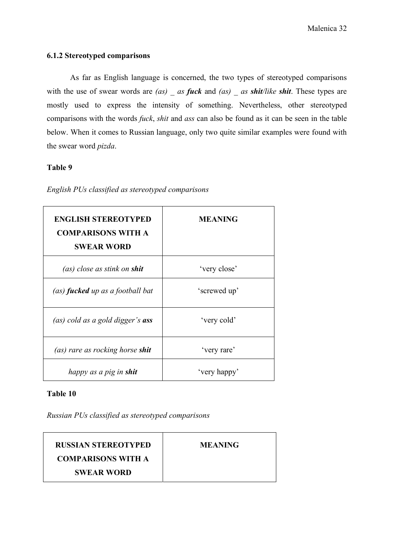### **6.1.2 Stereotyped comparisons**

As far as English language is concerned, the two types of stereotyped comparisons with the use of swear words are *(as)* as *fuck* and *(as)* as *shit/like shit*. These types are mostly used to express the intensity of something. Nevertheless, other stereotyped comparisons with the words *fuck*, *shit* and *ass* can also be found as it can be seen in the table below. When it comes to Russian language, only two quite similar examples were found with the swear word *pizda*.

### **Table 9**

| <b>ENGLISH STEREOTYPED</b><br><b>COMPARISONS WITH A</b><br><b>SWEAR WORD</b> | <b>MEANING</b> |
|------------------------------------------------------------------------------|----------------|
| (as) close as stink on <b>shit</b>                                           | 'very close'   |
| (as) <b>fucked</b> up as a football bat                                      | 'screwed up'   |
| (as) cold as a gold digger's <b>ass</b>                                      | 'very cold'    |
| (as) rare as rocking horse shit                                              | 'very rare'    |
| happy as a pig in <b>shit</b>                                                | 'very happy'   |

*English PUs classified as stereotyped comparisons* 

### **Table 10**

*Russian PUs classified as stereotyped comparisons* 

| <b>RUSSIAN STEREOTYPED</b> | <b>MEANING</b> |
|----------------------------|----------------|
| <b>COMPARISONS WITH A</b>  |                |
| <b>SWEAR WORD</b>          |                |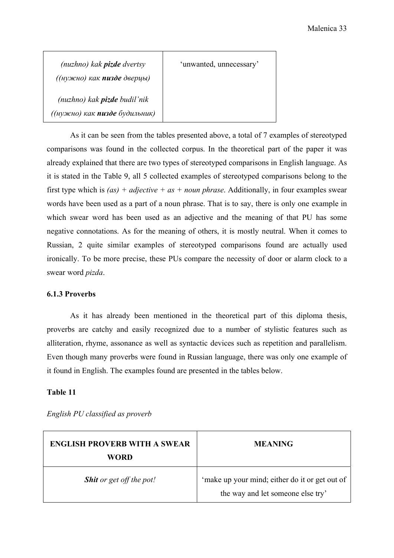| (nuzhno) kak <b>pizde</b> dvertsy<br>((нужно) как пизде дверцы)             | 'unwanted, unnecessary' |
|-----------------------------------------------------------------------------|-------------------------|
| (nuzhno) kak <b>pizde</b> budil'nik<br>((нужно) как <b>пизде</b> будильник) |                         |

As it can be seen from the tables presented above, a total of 7 examples of stereotyped comparisons was found in the collected corpus. In the theoretical part of the paper it was already explained that there are two types of stereotyped comparisons in English language. As it is stated in the Table 9, all 5 collected examples of stereotyped comparisons belong to the first type which is *(as) + adjective + as + noun phrase*. Additionally, in four examples swear words have been used as a part of a noun phrase. That is to say, there is only one example in which swear word has been used as an adjective and the meaning of that PU has some negative connotations. As for the meaning of others, it is mostly neutral. When it comes to Russian, 2 quite similar examples of stereotyped comparisons found are actually used ironically. To be more precise, these PUs compare the necessity of door or alarm clock to a swear word *pizda*.

### **6.1.3 Proverbs**

As it has already been mentioned in the theoretical part of this diploma thesis, proverbs are catchy and easily recognized due to a number of stylistic features such as alliteration, rhyme, assonance as well as syntactic devices such as repetition and parallelism. Even though many proverbs were found in Russian language, there was only one example of it found in English. The examples found are presented in the tables below.

### **Table 11**

| <b>ENGLISH PROVERB WITH A SWEAR</b><br>WORD | <b>MEANING</b>                                                                      |
|---------------------------------------------|-------------------------------------------------------------------------------------|
| <b>Shit</b> or get off the pot!             | 'make up your mind; either do it or get out of<br>the way and let someone else try' |

*English PU classified as proverb*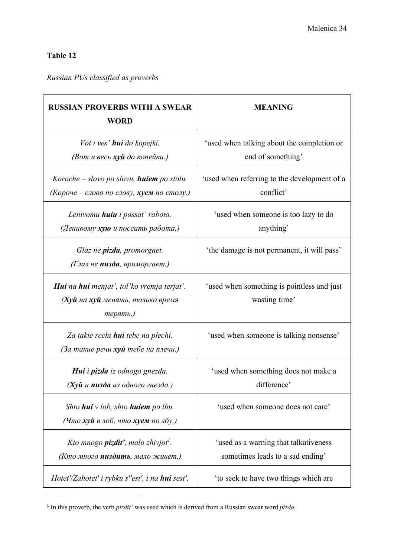### **Table 12**

## *Russian PUs classified as proverbs*

| <b>RUSSIAN PROVERBS WITH A SWEAR</b><br><b>WORD</b>                                                | <b>MEANING</b>                                                            |
|----------------------------------------------------------------------------------------------------|---------------------------------------------------------------------------|
| Vot i ves' <b>hui</b> do kopejki.<br>(Вот и весь хуй до копейки.)                                  | 'used when talking about the completion or<br>end of something'           |
| Koroche – slovo po slovu, <b>huiem</b> po stolu.<br>(Короче - слово по слову, хуем по столу.)      | 'used when referring to the development of a<br>conflict'                 |
| Lenivomu <b>huiu</b> i possat' rabota.<br>(Ленивому хую и поссать работа.)                         | 'used when someone is too lazy to do<br>anything'                         |
| Glaz ne <b>pizda</b> , promorgaet.<br>(Глаз не пизда, проморгает.)                                 | 'the damage is not permanent, it will pass'                               |
| Hui na hui menjat', tol'ko vremja terjat'.<br>(Хуй на хуй менять, только время<br>терять.)         | 'used when something is pointless and just<br>wasting time'               |
| Za takie rechi <b>hui</b> tebe na plechi.<br>(За такие речи хуй тебе на плечи.)                    | 'used when someone is talking nonsense'                                   |
| Hui i pizda iz odnogo gnezda.<br>(Хуй и пизда из одного гнезда.)                                   | 'used when something does not make a<br>difference'                       |
| Shto <b>hui</b> v lob, shto <b>huiem</b> po lbu.<br>(Что хүй в лоб, что хүем по лбу.)              | 'used when someone does not care'                                         |
| Kto mnogo <b>pizdit'</b> , malo zhivjot <sup>1</sup> .<br>(Кто много <b>пиздить</b> , мало живет.) | 'used as a warning that talkativeness<br>sometimes leads to a sad ending' |
| Hotet'/Zahotet' i rybku s"est', i na hui sest'.                                                    | 'to seek to have two things which are                                     |

<sup>1</sup> In this proverb, the verb *pizdit'* was used which is derived from a Russian swear word *pizda*.

 $\overline{\phantom{a}}$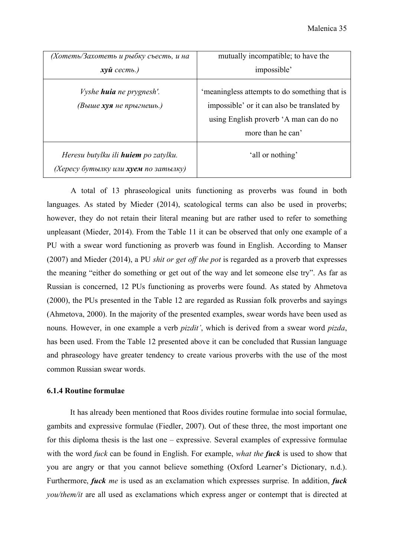| (Хотеть/Захотеть и рыбку съесть, и на                                               | mutually incompatible; to have the                                                                                                                          |
|-------------------------------------------------------------------------------------|-------------------------------------------------------------------------------------------------------------------------------------------------------------|
| $x\gamma\tilde{u}$ cecm <sub>b.</sub> )                                             | impossible'                                                                                                                                                 |
| <i>Vyshe huia ne prygnesh'.</i><br>(Выше хуя не прыгнешь.)                          | 'meaningless attempts to do something that is<br>impossible' or it can also be translated by<br>using English proverb 'A man can do no<br>more than he can' |
| Heresu butylku ili <b>huiem</b> po zatylku.<br>(Хересу бутылку или хуем по затылку) | 'all or nothing'                                                                                                                                            |

A total of 13 phraseological units functioning as proverbs was found in both languages. As stated by Mieder (2014), scatological terms can also be used in proverbs; however, they do not retain their literal meaning but are rather used to refer to something unpleasant (Mieder, 2014). From the Table 11 it can be observed that only one example of a PU with a swear word functioning as proverb was found in English. According to Manser (2007) and Mieder (2014), a PU *shit or get off the pot* is regarded as a proverb that expresses the meaning "either do something or get out of the way and let someone else try". As far as Russian is concerned, 12 PUs functioning as proverbs were found. As stated by Ahmetova (2000), the PUs presented in the Table 12 are regarded as Russian folk proverbs and sayings (Ahmetova, 2000). In the majority of the presented examples, swear words have been used as nouns. However, in one example a verb *pizdit'*, which is derived from a swear word *pizda*, has been used. From the Table 12 presented above it can be concluded that Russian language and phraseology have greater tendency to create various proverbs with the use of the most common Russian swear words.

### **6.1.4 Routine formulae**

It has already been mentioned that Roos divides routine formulae into social formulae, gambits and expressive formulae (Fiedler, 2007). Out of these three, the most important one for this diploma thesis is the last one – expressive. Several examples of expressive formulae with the word *fuck* can be found in English. For example, *what the fuck* is used to show that you are angry or that you cannot believe something (Oxford Learner's Dictionary, n.d.). Furthermore, *fuck me* is used as an exclamation which expresses surprise. In addition, *fuck you/them/it* are all used as exclamations which express anger or contempt that is directed at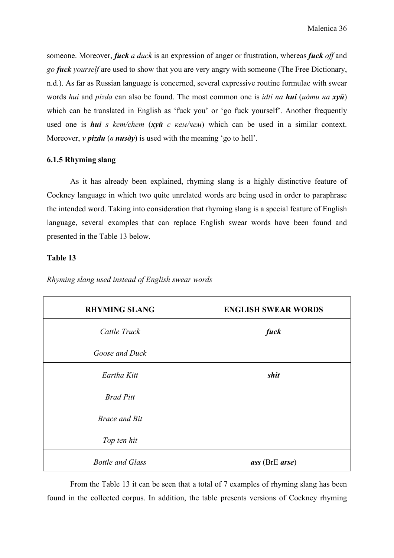someone. Moreover, *fuck a duck* is an expression of anger or frustration, whereas *fuck off* and *go fuck yourself* are used to show that you are very angry with someone (The Free Dictionary, n.d.). As far as Russian language is concerned, several expressive routine formulae with swear words *hui* and *pizda* can also be found. The most common one is *idti na hui* (*идти на хуй*) which can be translated in English as 'fuck you' or 'go fuck yourself'. Another frequently used one is *hui s kem/chem* (*хуй с кем/чем*) which can be used in a similar context. Moreover, *v pizdu* ( $\theta$  *nusdy*) is used with the meaning 'go to hell'.

### **6.1.5 Rhyming slang**

As it has already been explained, rhyming slang is a highly distinctive feature of Cockney language in which two quite unrelated words are being used in order to paraphrase the intended word. Taking into consideration that rhyming slang is a special feature of English language, several examples that can replace English swear words have been found and presented in the Table 13 below.

### **Table 13**

| <b>RHYMING SLANG</b>    | <b>ENGLISH SWEAR WORDS</b>            |
|-------------------------|---------------------------------------|
| Cattle Truck            | fuck                                  |
| Goose and Duck          |                                       |
| Eartha Kitt             | shit                                  |
| <b>Brad Pitt</b>        |                                       |
| <b>Brace and Bit</b>    |                                       |
| Top ten hit             |                                       |
| <b>Bottle and Glass</b> | $\textit{ass}$ (BrE $\textit{arse}$ ) |

*Rhyming slang used instead of English swear words* 

 From the Table 13 it can be seen that a total of 7 examples of rhyming slang has been found in the collected corpus. In addition, the table presents versions of Cockney rhyming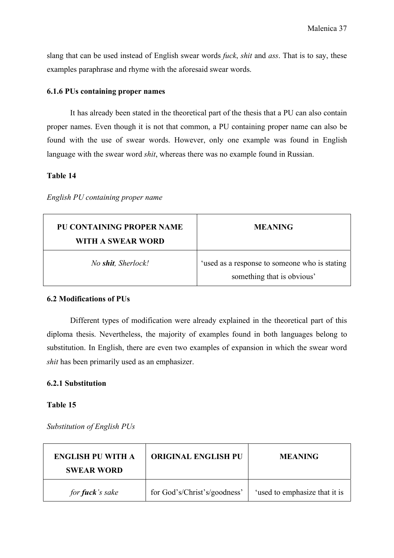slang that can be used instead of English swear words *fuck*, *shit* and *ass*. That is to say, these examples paraphrase and rhyme with the aforesaid swear words.

### **6.1.6 PUs containing proper names**

It has already been stated in the theoretical part of the thesis that a PU can also contain proper names. Even though it is not that common, a PU containing proper name can also be found with the use of swear words. However, only one example was found in English language with the swear word *shit*, whereas there was no example found in Russian.

### **Table 14**

### *English PU containing proper name*

| <b>PU CONTAINING PROPER NAME</b><br>WITH A SWEAR WORD | <b>MEANING</b>                                                              |
|-------------------------------------------------------|-----------------------------------------------------------------------------|
| No shit, Sherlock!                                    | 'used as a response to someone who is stating<br>something that is obvious' |

### **6.2 Modifications of PUs**

Different types of modification were already explained in the theoretical part of this diploma thesis. Nevertheless, the majority of examples found in both languages belong to substitution. In English, there are even two examples of expansion in which the swear word *shit* has been primarily used as an emphasizer.

### **6.2.1 Substitution**

### **Table 15**

*Substitution of English PUs* 

| <b>ENGLISH PU WITH A</b><br><b>SWEAR WORD</b> | <b>ORIGINAL ENGLISH PU</b>   | <b>MEANING</b>                |
|-----------------------------------------------|------------------------------|-------------------------------|
| for <b>fuck</b> 's sake                       | for God's/Christ's/goodness' | 'used to emphasize that it is |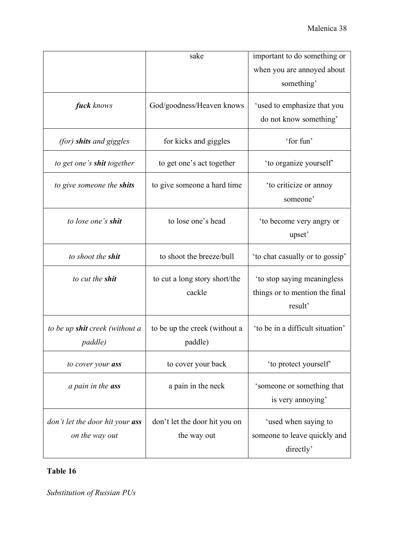|                                                          | sake                                         | important to do something or                                             |
|----------------------------------------------------------|----------------------------------------------|--------------------------------------------------------------------------|
|                                                          |                                              | when you are annoyed about<br>something'                                 |
| fuck knows                                               | God/goodness/Heaven knows                    | 'used to emphasize that you<br>do not know something'                    |
| (for) shits and giggles                                  | for kicks and giggles                        | 'for fun'                                                                |
| to get one's <b>shit</b> together                        | to get one's act together                    | 'to organize yourself'                                                   |
| to give someone the shits                                | to give someone a hard time                  | 'to criticize or annoy<br>someone'                                       |
| to lose one's <b>shit</b>                                | to lose one's head                           | 'to become very angry or<br>upset'                                       |
| to shoot the shit                                        | to shoot the breeze/bull                     | 'to chat casually or to gossip'                                          |
| to cut the <b>shit</b>                                   | to cut a long story short/the<br>cackle      | 'to stop saying meaningless<br>things or to mention the final<br>result' |
| to be up <b>shit</b> creek (without a<br><i>paddle</i> ) | to be up the creek (without a<br>paddle)     | 'to be in a difficult situation'                                         |
| to cover your ass                                        | to cover your back                           | 'to protect yourself'                                                    |
| a pain in the <b>ass</b>                                 | a pain in the neck                           | 'someone or something that<br>is very annoying'                          |
| don't let the door hit your ass<br>on the way out        | don't let the door hit you on<br>the way out | 'used when saying to<br>someone to leave quickly and<br>directly'        |

## **Table 16**

*Substitution of Russian PUs*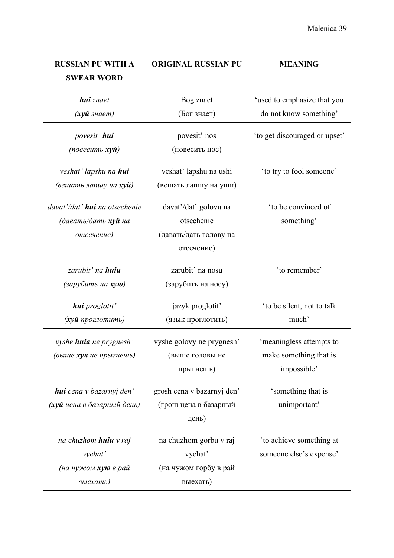| <b>RUSSIAN PU WITH A</b><br><b>SWEAR WORD</b>                              | <b>ORIGINAL RUSSIAN PU</b>                                                  | <b>MEANING</b>                                                    |
|----------------------------------------------------------------------------|-----------------------------------------------------------------------------|-------------------------------------------------------------------|
| <b>hui</b> znaet<br>( <b>хуй</b> знает)                                    | Bog znaet<br>(Бог знает)                                                    | 'used to emphasize that you<br>do not know something'             |
| povesit' hui<br>(повесить <b>хуй</b> )                                     | povesit' nos<br>(повесить нос)                                              | 'to get discouraged or upset'                                     |
| veshat' lapshu na <b>hui</b><br>(вешать лапшу на <b>хуй</b> )              | veshat' lapshu na ushi<br>(вешать лапшу на уши)                             | 'to try to fool someone'                                          |
| davat'/dat' <b>hui</b> na otsechenie<br>(давать/дать хуй на<br>отсечение)  | davat'/dat' golovu na<br>otsechenie<br>(давать/дать голову на<br>отсечение) | 'to be convinced of<br>something'                                 |
| zarubit' na <b>huiu</b><br>(зарубить на <b>хую</b> )                       | zarubit' na nosu<br>(зарубить на носу)                                      | 'to remember'                                                     |
| hui proglotit'<br>(хуй проглотить)                                         | jazyk proglotiť<br>(язык проглотить)                                        | 'to be silent, not to talk<br>much'                               |
| vyshe <b>huia</b> ne prygnesh'<br>(выше хуя не прыгнешь)                   | vyshe golovy ne prygnesh'<br>(выше головы не<br>прыгнешь)                   | 'meaningless attempts to<br>make something that is<br>impossible' |
| hui cena v bazarnyj den'<br>(хуй цена в базарный день)                     | grosh cena v bazarnyj den'<br>(грош цена в базарный<br>день)                | 'something that is<br>unimportant'                                |
| na chuzhom <b>huiu</b> v raj<br>vyehat'<br>(на чужом хую в рай<br>выехать) | na chuzhom gorbu v raj<br>vyehat'<br>(на чужом горбу в рай<br>выехать)      | 'to achieve something at<br>someone else's expense'               |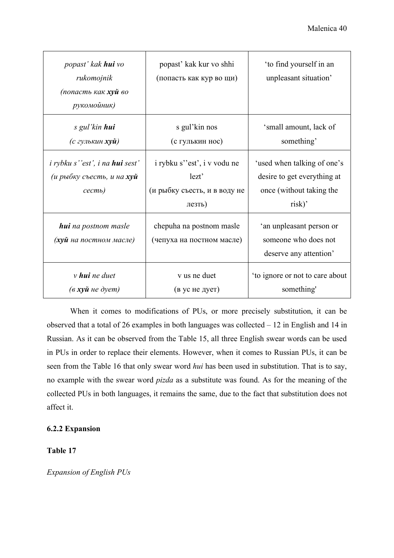| popast' kak <b>hui</b> vo<br>rukomojnik<br>(попасть как хуй во<br>рукомойник)           | popast' kak kur vo shhi<br>(попасть как кур во щи)                             | 'to find yourself in an<br>unpleasant situation'                                                 |
|-----------------------------------------------------------------------------------------|--------------------------------------------------------------------------------|--------------------------------------------------------------------------------------------------|
| s gul'kin hui<br>(с гулькин <b>хуй)</b>                                                 | s gul'kin nos<br>(с гулькин нос)                                               | 'small amount, lack of<br>something'                                                             |
| <i>i</i> rybku s''est', i na <b>hui</b> sest'<br>(и рыбку съесть, и на хуй<br>$cecmb$ ) | i rybku s"est", i v vodu ne<br>lezt'<br>(и рыбку съесть, и в воду не<br>лезть) | 'used when talking of one's<br>desire to get everything at<br>once (without taking the<br>risk)' |
| <b>hui</b> na postnom masle<br>(хуй на постном масле)                                   | chepuha na postnom masle<br>(чепуха на постном масле)                          | 'an unpleasant person or<br>someone who does not<br>deserve any attention'                       |
| $\nu$ hui ne duet<br>$(a$ <b>xyu</b> <i>He</i> dyem)                                    | v us ne duet<br>(в ус не дует)                                                 | 'to ignore or not to care about<br>something'                                                    |

When it comes to modifications of PUs, or more precisely substitution, it can be observed that a total of 26 examples in both languages was collected  $-12$  in English and 14 in Russian. As it can be observed from the Table 15, all three English swear words can be used in PUs in order to replace their elements. However, when it comes to Russian PUs, it can be seen from the Table 16 that only swear word *hui* has been used in substitution. That is to say, no example with the swear word *pizda* as a substitute was found. As for the meaning of the collected PUs in both languages, it remains the same, due to the fact that substitution does not affect it.

### **6.2.2 Expansion**

**Table 17** 

*Expansion of English PUs*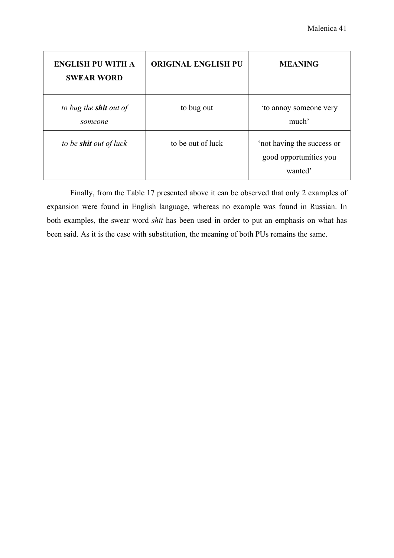| <b>ENGLISH PU WITH A</b><br><b>SWEAR WORD</b> | <b>ORIGINAL ENGLISH PU</b> | <b>MEANING</b>                                                  |
|-----------------------------------------------|----------------------------|-----------------------------------------------------------------|
| to bug the <b>shit</b> out of<br>someone      | to bug out                 | 'to annoy someone very<br>much'                                 |
| to be <b>shit</b> out of luck                 | to be out of luck          | 'not having the success or<br>good opportunities you<br>wanted' |

 Finally, from the Table 17 presented above it can be observed that only 2 examples of expansion were found in English language, whereas no example was found in Russian. In both examples, the swear word *shit* has been used in order to put an emphasis on what has been said. As it is the case with substitution, the meaning of both PUs remains the same.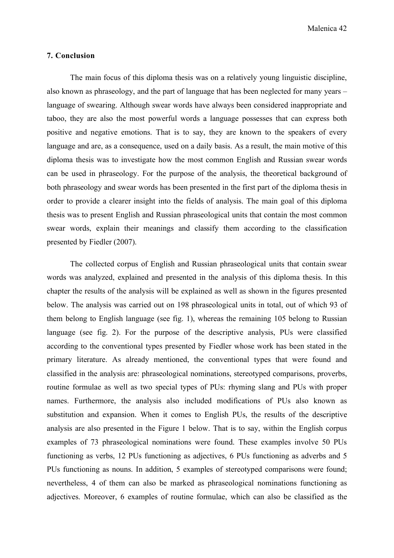### **7. Conclusion**

The main focus of this diploma thesis was on a relatively young linguistic discipline, also known as phraseology, and the part of language that has been neglected for many years – language of swearing. Although swear words have always been considered inappropriate and taboo, they are also the most powerful words a language possesses that can express both positive and negative emotions. That is to say, they are known to the speakers of every language and are, as a consequence, used on a daily basis. As a result, the main motive of this diploma thesis was to investigate how the most common English and Russian swear words can be used in phraseology. For the purpose of the analysis, the theoretical background of both phraseology and swear words has been presented in the first part of the diploma thesis in order to provide a clearer insight into the fields of analysis. The main goal of this diploma thesis was to present English and Russian phraseological units that contain the most common swear words, explain their meanings and classify them according to the classification presented by Fiedler (2007).

The collected corpus of English and Russian phraseological units that contain swear words was analyzed, explained and presented in the analysis of this diploma thesis. In this chapter the results of the analysis will be explained as well as shown in the figures presented below. The analysis was carried out on 198 phraseological units in total, out of which 93 of them belong to English language (see fig. 1), whereas the remaining 105 belong to Russian language (see fig. 2). For the purpose of the descriptive analysis, PUs were classified according to the conventional types presented by Fiedler whose work has been stated in the primary literature. As already mentioned, the conventional types that were found and classified in the analysis are: phraseological nominations, stereotyped comparisons, proverbs, routine formulae as well as two special types of PUs: rhyming slang and PUs with proper names. Furthermore, the analysis also included modifications of PUs also known as substitution and expansion. When it comes to English PUs, the results of the descriptive analysis are also presented in the Figure 1 below. That is to say, within the English corpus examples of 73 phraseological nominations were found. These examples involve 50 PUs functioning as verbs, 12 PUs functioning as adjectives, 6 PUs functioning as adverbs and 5 PUs functioning as nouns. In addition, 5 examples of stereotyped comparisons were found; nevertheless, 4 of them can also be marked as phraseological nominations functioning as adjectives. Moreover, 6 examples of routine formulae, which can also be classified as the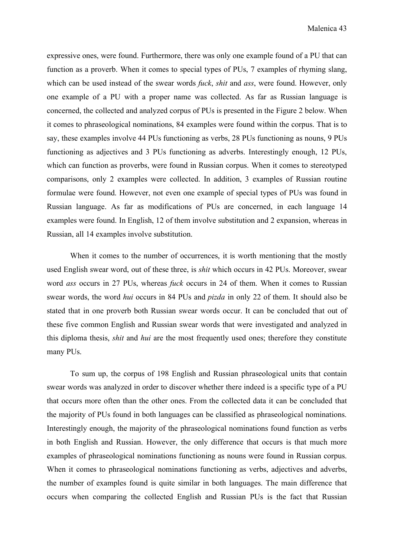expressive ones, were found. Furthermore, there was only one example found of a PU that can function as a proverb. When it comes to special types of PUs, 7 examples of rhyming slang, which can be used instead of the swear words *fuck*, *shit* and *ass*, were found. However, only one example of a PU with a proper name was collected. As far as Russian language is concerned, the collected and analyzed corpus of PUs is presented in the Figure 2 below. When it comes to phraseological nominations, 84 examples were found within the corpus. That is to say, these examples involve 44 PUs functioning as verbs, 28 PUs functioning as nouns, 9 PUs functioning as adjectives and 3 PUs functioning as adverbs. Interestingly enough, 12 PUs, which can function as proverbs, were found in Russian corpus. When it comes to stereotyped comparisons, only 2 examples were collected. In addition, 3 examples of Russian routine formulae were found. However, not even one example of special types of PUs was found in Russian language. As far as modifications of PUs are concerned, in each language 14 examples were found. In English, 12 of them involve substitution and 2 expansion, whereas in Russian, all 14 examples involve substitution.

When it comes to the number of occurrences, it is worth mentioning that the mostly used English swear word, out of these three, is *shit* which occurs in 42 PUs. Moreover, swear word *ass* occurs in 27 PUs, whereas *fuck* occurs in 24 of them. When it comes to Russian swear words, the word *hui* occurs in 84 PUs and *pizda* in only 22 of them. It should also be stated that in one proverb both Russian swear words occur. It can be concluded that out of these five common English and Russian swear words that were investigated and analyzed in this diploma thesis, *shit* and *hui* are the most frequently used ones; therefore they constitute many PUs.

To sum up, the corpus of 198 English and Russian phraseological units that contain swear words was analyzed in order to discover whether there indeed is a specific type of a PU that occurs more often than the other ones. From the collected data it can be concluded that the majority of PUs found in both languages can be classified as phraseological nominations. Interestingly enough, the majority of the phraseological nominations found function as verbs in both English and Russian. However, the only difference that occurs is that much more examples of phraseological nominations functioning as nouns were found in Russian corpus. When it comes to phraseological nominations functioning as verbs, adjectives and adverbs, the number of examples found is quite similar in both languages. The main difference that occurs when comparing the collected English and Russian PUs is the fact that Russian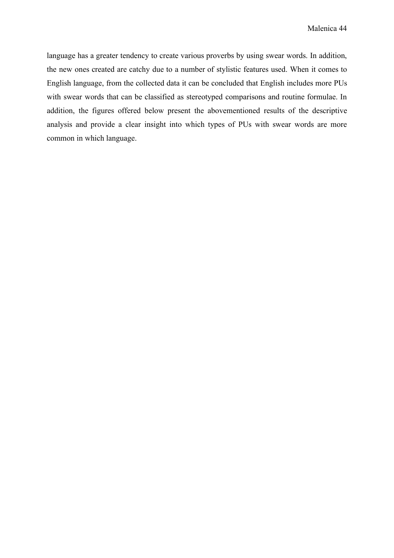language has a greater tendency to create various proverbs by using swear words. In addition, the new ones created are catchy due to a number of stylistic features used. When it comes to English language, from the collected data it can be concluded that English includes more PUs with swear words that can be classified as stereotyped comparisons and routine formulae. In addition, the figures offered below present the abovementioned results of the descriptive analysis and provide a clear insight into which types of PUs with swear words are more common in which language.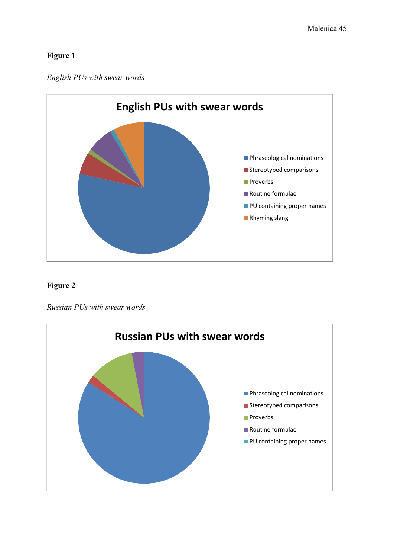### **Figure 1**





### **Figure 2**

*Russian PUs with swear words* 

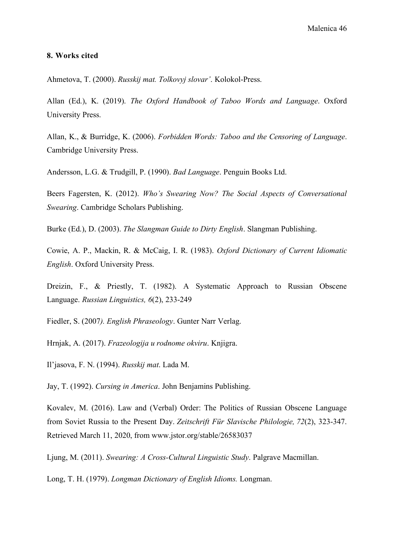#### **8. Works cited**

Ahmetova, T. (2000). *Russkij mat. Tolkovyj slovar'*. Kolokol-Press.

Allan (Ed.), K. (2019). *The Oxford Handbook of Taboo Words and Language*. Oxford University Press.

Allan, K., & Burridge, K. (2006). *Forbidden Words: Taboo and the Censoring of Language*. Cambridge University Press.

Andersson, L.G. & Trudgill, P. (1990). *Bad Language*. Penguin Books Ltd.

Beers Fagersten, K. (2012). *Who's Swearing Now? The Social Aspects of Conversational Swearing*. Cambridge Scholars Publishing.

Burke (Ed.), D. (2003). *The Slangman Guide to Dirty English*. Slangman Publishing.

Cowie, A. P., Mackin, R. & McCaig, I. R. (1983). *Oxford Dictionary of Current Idiomatic English*. Oxford University Press.

Dreizin, F., & Priestly, T. (1982). A Systematic Approach to Russian Obscene Language. *Russian Linguistics, 6*(2), 233-249

Fiedler, S. (2007*). English Phraseology*. Gunter Narr Verlag.

Hrnjak, A. (2017). *Frazeologija u rodnome okviru*. Knjigra.

Il'jasova, F. N. (1994). *Russkij mat*. Lada M.

Jay, T. (1992). *Cursing in America*. John Benjamins Publishing.

Kovalev, M. (2016). Law and (Verbal) Order: The Politics of Russian Obscene Language from Soviet Russia to the Present Day. *Zeitschrift Für Slavische Philologie, 72*(2), 323-347. Retrieved March 11, 2020, from www.jstor.org/stable/26583037

Ljung, M. (2011). *Swearing: A Cross-Cultural Linguistic Study*. Palgrave Macmillan.

Long, T. H. (1979). *Longman Dictionary of English Idioms.* Longman.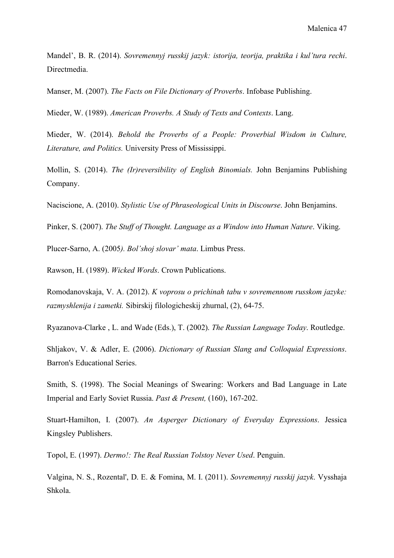Mandel', B. R. (2014). *Sovremennyj russkij jazyk: istorija, teorija, praktika i kul'tura rechi*. Directmedia.

Manser, M. (2007). *The Facts on File Dictionary of Proverbs*. Infobase Publishing.

Mieder, W. (1989). *American Proverbs. A Study of Texts and Contexts*. Lang.

Mieder, W. (2014). *Behold the Proverbs of a People: Proverbial Wisdom in Culture, Literature, and Politics.* University Press of Mississippi.

Mollin, S. (2014). *The (Ir)reversibility of English Binomials.* John Benjamins Publishing Company.

Naciscione, A. (2010). *Stylistic Use of Phraseological Units in Discourse*. John Benjamins.

Pinker, S. (2007). *The Stuff of Thought. Language as a Window into Human Nature*. Viking.

Plucer-Sarno, A. (2005*). Bol'shoj slovar' mata*. Limbus Press.

Rawson, H. (1989). *Wicked Words*. Crown Publications.

Romodanovskaja, V. A. (2012). *K voprosu o prichinah tabu v sovremennom russkom jazyke: razmyshlenija i zametki.* Sibirskij filologicheskij zhurnal, (2), 64-75.

Ryazanova-Clarke , L. and Wade (Eds.), T. (2002). *The Russian Language Today*. Routledge.

Shljakov, V. & Adler, E. (2006). *Dictionary of Russian Slang and Colloquial Expressions*. Barron's Educational Series.

Smith, S. (1998). The Social Meanings of Swearing: Workers and Bad Language in Late Imperial and Early Soviet Russia. *Past & Present,* (160), 167-202.

Stuart-Hamilton, I. (2007). *An Asperger Dictionary of Everyday Expressions*. Jessica Kingsley Publishers.

Topol, E. (1997). *Dermo!: The Real Russian Tolstoy Never Used*. Penguin.

Valgina, N. S., Rozental', D. E. & Fomina, M. I. (2011). *Sovremennyj russkij jazyk*. Vysshaja Shkola.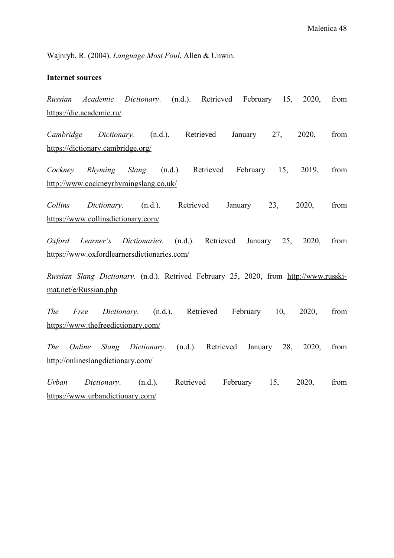Wajnryb, R. (2004). *Language Most Foul*. Allen & Unwin.

### **Internet sources**

*Russian Academic Dictionary*. (n.d.). Retrieved February 15, 2020, from https://dic.academic.ru/

*Cambridge Dictionary.* (n.d.). Retrieved January 27, 2020, from https://dictionary.cambridge.org/

*Cockney Rhyming Slang*. (n.d.). Retrieved February 15, 2019, from http://www.cockneyrhymingslang.co.uk/

*Collins Dictionary*. (n.d.). Retrieved January 23, 2020, from https://www.collinsdictionary.com/

*Oxford Learner's Dictionaries*. (n.d.). Retrieved January 25, 2020, from https://www.oxfordlearnersdictionaries.com/

*Russian Slang Dictionary*. (n.d.). Retrived February 25, 2020, from http://www.russkimat.net/e/Russian.php

*The Free Dictionary*. (n.d.). Retrieved February 10, 2020, from https://www.thefreedictionary.com/

*The Online Slang Dictionary*. (n.d.). Retrieved January 28, 2020, from http://onlineslangdictionary.com/

*Urban Dictionary*. (n.d.). Retrieved February 15, 2020, from https://www.urbandictionary.com/